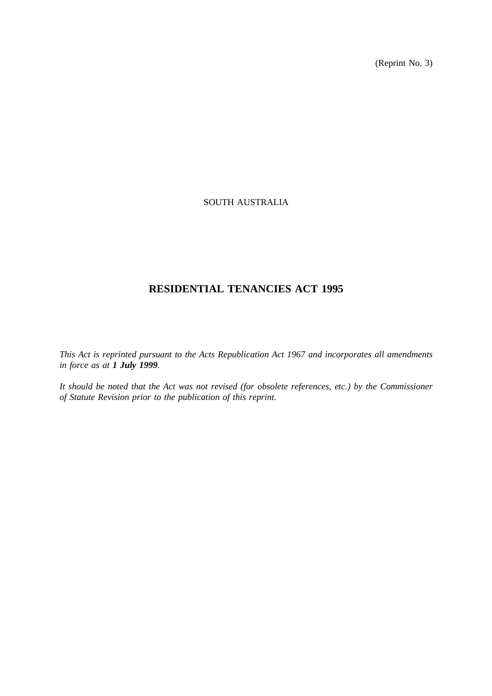(Reprint No. 3)

# SOUTH AUSTRALIA

# **RESIDENTIAL TENANCIES ACT 1995**

*This Act is reprinted pursuant to the Acts Republication Act 1967 and incorporates all amendments in force as at 1 July 1999.*

*It should be noted that the Act was not revised (for obsolete references, etc.) by the Commissioner of Statute Revision prior to the publication of this reprint.*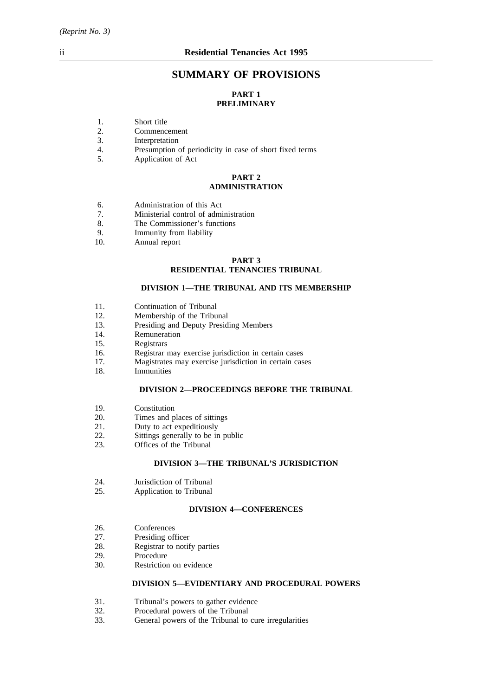# **SUMMARY OF PROVISIONS**

# **PART 1 PRELIMINARY**

- 1. Short title<br>2. Commence
- 2. Commencement<br>3. Interpretation
- 3. Interpretation<br>4. Presumption
- 4. Presumption of periodicity in case of short fixed terms<br>5. Application of Act
- Application of Act

## **PART 2 ADMINISTRATION**

- 6. Administration of this Act<br>
7. Ministerial control of admi
- 7. Ministerial control of administration<br>8 The Commissioner's functions
- The Commissioner's functions
- 9. Immunity from liability
- 10. Annual report

# **PART 3 RESIDENTIAL TENANCIES TRIBUNAL**

#### **DIVISION 1—THE TRIBUNAL AND ITS MEMBERSHIP**

- 11. Continuation of Tribunal
- 12. Membership of the Tribunal
- 13. Presiding and Deputy Presiding Members
- 14. Remuneration
- 15. Registrars
- 16. Registrar may exercise jurisdiction in certain cases
- 17. Magistrates may exercise jurisdiction in certain cases
- 18. Immunities

#### **DIVISION 2—PROCEEDINGS BEFORE THE TRIBUNAL**

- 19. Constitution
- 20. Times and places of sittings
- 21. Duty to act expeditiously<br>22. Sittings generally to be in
- 22. Sittings generally to be in public<br>23. Offices of the Tribunal
- Offices of the Tribunal

## **DIVISION 3—THE TRIBUNAL'S JURISDICTION**

- 24. Jurisdiction of Tribunal
- 25. Application to Tribunal

# **DIVISION 4—CONFERENCES**

- 26. Conferences<br>27. Presiding of
- 27. Presiding officer<br>28. Registrar to notif
- 28. Registrar to notify parties<br>29. Procedure
- Procedure
- 30. Restriction on evidence

## **DIVISION 5—EVIDENTIARY AND PROCEDURAL POWERS**

- 31. Tribunal's powers to gather evidence<br>32. Procedural nowers of the Tribunal
- 32. Procedural powers of the Tribunal 33. General powers of the Tribunal to
- General powers of the Tribunal to cure irregularities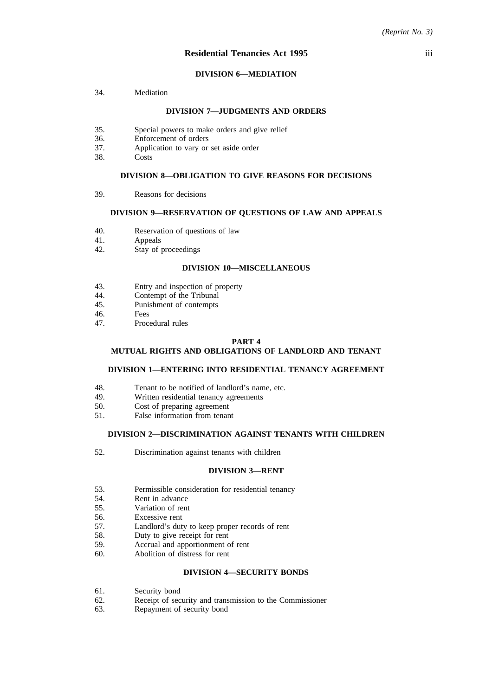#### **DIVISION 6—MEDIATION**

34. Mediation

#### **DIVISION 7—JUDGMENTS AND ORDERS**

- 35. Special powers to make orders and give relief
- 36. Enforcement of orders
- 37. Application to vary or set aside order
- 38. Costs

#### **DIVISION 8—OBLIGATION TO GIVE REASONS FOR DECISIONS**

39. Reasons for decisions

## **DIVISION 9—RESERVATION OF QUESTIONS OF LAW AND APPEALS**

- 40. Reservation of questions of law<br>41. Appeals
- **Appeals**
- 42. Stay of proceedings

## **DIVISION 10—MISCELLANEOUS**

- 43. Entry and inspection of property<br>44. Contempt of the Tribunal
- 44. Contempt of the Tribunal<br>45 Punishment of contempts
- 45. Punishment of contempts<br>46
- 46. Fees<br>47 Proce
- Procedural rules

#### **PART 4**

## **MUTUAL RIGHTS AND OBLIGATIONS OF LANDLORD AND TENANT**

#### **DIVISION 1—ENTERING INTO RESIDENTIAL TENANCY AGREEMENT**

- 48. Tenant to be notified of landlord's name, etc.<br>49. Written residential tenancy agreements
- Written residential tenancy agreements
- 50. Cost of preparing agreement
- 51. False information from tenant

#### **DIVISION 2—DISCRIMINATION AGAINST TENANTS WITH CHILDREN**

52. Discrimination against tenants with children

#### **DIVISION 3—RENT**

- 53. Permissible consideration for residential tenancy
- 54. Rent in advance
- 55. Variation of rent
- 56. Excessive rent
- 57. Landlord's duty to keep proper records of rent
- 58. Duty to give receipt for rent
- 59. Accrual and apportionment of rent
- 60. Abolition of distress for rent

## **DIVISION 4—SECURITY BONDS**

- 61. Security bond
- 62. Receipt of security and transmission to the Commissioner
- 63. Repayment of security bond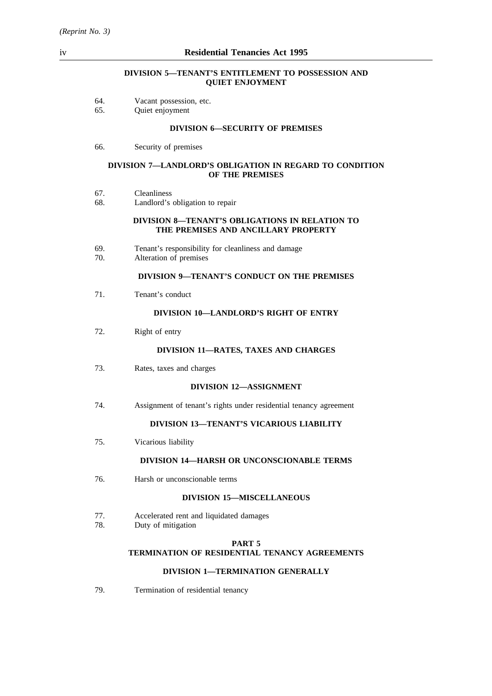## **DIVISION 5—TENANT'S ENTITLEMENT TO POSSESSION AND QUIET ENJOYMENT**

| 64.<br>Vacant possession, etc. |  |
|--------------------------------|--|
|--------------------------------|--|

65. Quiet enjoyment

#### **DIVISION 6—SECURITY OF PREMISES**

66. Security of premises

#### **DIVISION 7—LANDLORD'S OBLIGATION IN REGARD TO CONDITION OF THE PREMISES**

- 67. Cleanliness
- 68. Landlord's obligation to repair

#### **DIVISION 8—TENANT'S OBLIGATIONS IN RELATION TO THE PREMISES AND ANCILLARY PROPERTY**

- 69. Tenant's responsibility for cleanliness and damage
- Alteration of premises

## **DIVISION 9—TENANT'S CONDUCT ON THE PREMISES**

71. Tenant's conduct

#### **DIVISION 10—LANDLORD'S RIGHT OF ENTRY**

72. Right of entry

#### **DIVISION 11—RATES, TAXES AND CHARGES**

73. Rates, taxes and charges

#### **DIVISION 12—ASSIGNMENT**

74. Assignment of tenant's rights under residential tenancy agreement

# **DIVISION 13—TENANT'S VICARIOUS LIABILITY**

75. Vicarious liability

#### **DIVISION 14—HARSH OR UNCONSCIONABLE TERMS**

76. Harsh or unconscionable terms

# **DIVISION 15—MISCELLANEOUS**

- 77. Accelerated rent and liquidated damages
- 78. Duty of mitigation

#### **PART 5**

# **TERMINATION OF RESIDENTIAL TENANCY AGREEMENTS**

#### **DIVISION 1—TERMINATION GENERALLY**

79. Termination of residential tenancy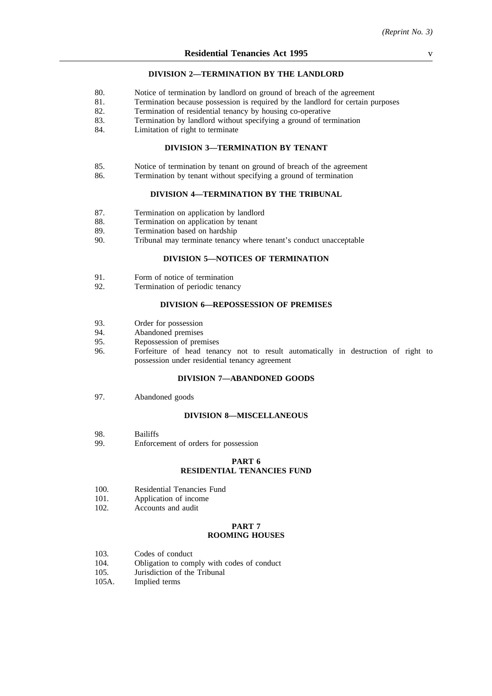#### **DIVISION 2—TERMINATION BY THE LANDLORD**

- 80. Notice of termination by landlord on ground of breach of the agreement
- 81. Termination because possession is required by the landlord for certain purposes
- 82. Termination of residential tenancy by housing co-operative
- 83. Termination by landlord without specifying a ground of termination
- 84. Limitation of right to terminate

#### **DIVISION 3—TERMINATION BY TENANT**

- 85. Notice of termination by tenant on ground of breach of the agreement
- 86. Termination by tenant without specifying a ground of termination

#### **DIVISION 4—TERMINATION BY THE TRIBUNAL**

- 87. Termination on application by landlord<br>88. Termination on application by tenant
- 88. Termination on application by tenant<br>89. Termination based on hardship
- 89. Termination based on hardship<br>90. Tribunal may terminate tenancy
- Tribunal may terminate tenancy where tenant's conduct unacceptable

## **DIVISION 5—NOTICES OF TERMINATION**

- 91. Form of notice of termination<br>92. Termination of periodic tenanc
- Termination of periodic tenancy

# **DIVISION 6—REPOSSESSION OF PREMISES**

- 93. Order for possession
- 94. Abandoned premises
- 95. Repossession of premises
- 96. Forfeiture of head tenancy not to result automatically in destruction of right to possession under residential tenancy agreement

#### **DIVISION 7—ABANDONED GOODS**

97. Abandoned goods

#### **DIVISION 8—MISCELLANEOUS**

- 98. Bailiffs
- 99. Enforcement of orders for possession

#### **PART 6 RESIDENTIAL TENANCIES FUND**

- 100. Residential Tenancies Fund
- 101. Application of income
- 102. Accounts and audit

#### **PART 7 ROOMING HOUSES**

- 103. Codes of conduct
- 104. Obligation to comply with codes of conduct
- 105. Jurisdiction of the Tribunal
- 105A. Implied terms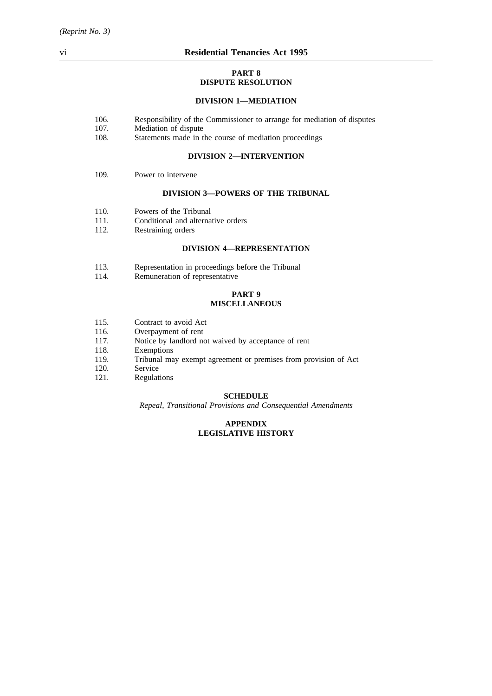#### **PART 8 DISPUTE RESOLUTION**

# **DIVISION 1—MEDIATION**

- 106. Responsibility of the Commissioner to arrange for mediation of disputes
- 107. Mediation of dispute
- 108. Statements made in the course of mediation proceedings

#### **DIVISION 2—INTERVENTION**

109. Power to intervene

#### **DIVISION 3—POWERS OF THE TRIBUNAL**

- 110. Powers of the Tribunal
- 111. Conditional and alternative orders<br>112. Restraining orders
- Restraining orders

#### **DIVISION 4—REPRESENTATION**

- 113. Representation in proceedings before the Tribunal 114. Remuneration of representative
- Remuneration of representative

## **PART 9 MISCELLANEOUS**

- 115. Contract to avoid Act
- 116. Overpayment of rent<br>117. Notice by landlord no
- Notice by landlord not waived by acceptance of rent
- 118. Exemptions
- 119. Tribunal may exempt agreement or premises from provision of Act
- 120. Service
- 121. Regulations

#### **SCHEDULE**

*Repeal, Transitional Provisions and Consequential Amendments*

## **APPENDIX LEGISLATIVE HISTORY**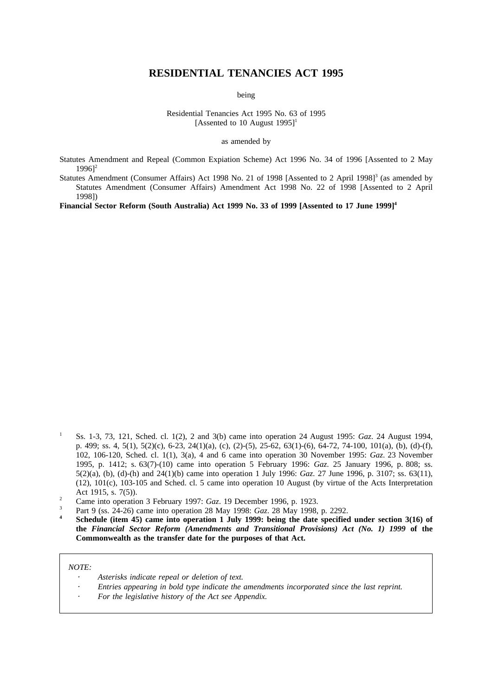# **RESIDENTIAL TENANCIES ACT 1995**

being

Residential Tenancies Act 1995 No. 63 of 1995 [Assented to 10 August  $1995$ ]<sup>1</sup>

as amended by

Statutes Amendment and Repeal (Common Expiation Scheme) Act 1996 No. 34 of 1996 [Assented to 2 May  $19961^2$ 

Statutes Amendment (Consumer Affairs) Act 1998 No. 21 of 1998 [Assented to 2 April 1998] $3$  (as amended by Statutes Amendment (Consumer Affairs) Amendment Act 1998 No. 22 of 1998 [Assented to 2 April 1998])

**Financial Sector Reform (South Australia) Act 1999 No. 33 of 1999 [Assented to 17 June 1999]4**

- <sup>3</sup> Part 9 (ss. 24-26) came into operation 28 May 1998: *Gaz*. 28 May 1998, p. 2292.
- **<sup>4</sup> Schedule (item 45) came into operation 1 July 1999: being the date specified under section 3(16) of the** *Financial Sector Reform (Amendments and Transitional Provisions) Act (No. 1) 1999* **of the Commonwealth as the transfer date for the purposes of that Act.**

*NOTE:*

- *Asterisks indicate repeal or deletion of text.*
- *Entries appearing in bold type indicate the amendments incorporated since the last reprint.*
- *For the legislative history of the Act see Appendix.*

<sup>1</sup> Ss. 1-3, 73, 121, Sched. cl. 1(2), 2 and 3(b) came into operation 24 August 1995: *Gaz*. 24 August 1994, p. 499; ss. 4, 5(1), 5(2)(c), 6-23, 24(1)(a), (c), (2)-(5), 25-62, 63(1)-(6), 64-72, 74-100, 101(a), (b), (d)-(f), 102, 106-120, Sched. cl. 1(1), 3(a), 4 and 6 came into operation 30 November 1995: *Gaz*. 23 November 1995, p. 1412; s. 63(7)-(10) came into operation 5 February 1996: *Gaz*. 25 January 1996, p. 808; ss. 5(2)(a), (b), (d)-(h) and 24(1)(b) came into operation 1 July 1996: *Gaz*. 27 June 1996, p. 3107; ss. 63(11), (12), 101(c), 103-105 and Sched. cl. 5 came into operation 10 August (by virtue of the Acts Interpretation Act 1915, s. 7(5)).

<sup>&</sup>lt;sup>2</sup> Came into operation 3 February 1997: *Gaz*. 19 December 1996, p. 1923.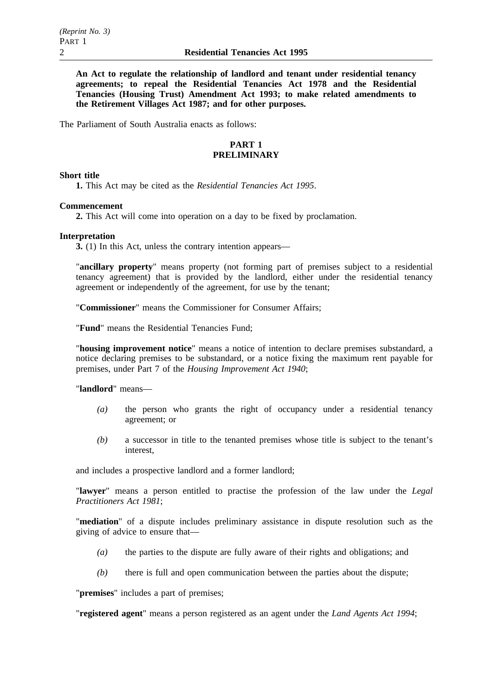**An Act to regulate the relationship of landlord and tenant under residential tenancy agreements; to repeal the Residential Tenancies Act 1978 and the Residential Tenancies (Housing Trust) Amendment Act 1993; to make related amendments to the Retirement Villages Act 1987; and for other purposes.**

The Parliament of South Australia enacts as follows:

# **PART 1 PRELIMINARY**

## **Short title**

**1.** This Act may be cited as the *Residential Tenancies Act 1995*.

#### **Commencement**

**2.** This Act will come into operation on a day to be fixed by proclamation.

#### **Interpretation**

**3.** (1) In this Act, unless the contrary intention appears—

"**ancillary property**" means property (not forming part of premises subject to a residential tenancy agreement) that is provided by the landlord, either under the residential tenancy agreement or independently of the agreement, for use by the tenant;

"**Commissioner**" means the Commissioner for Consumer Affairs;

"**Fund**" means the Residential Tenancies Fund;

"**housing improvement notice**" means a notice of intention to declare premises substandard, a notice declaring premises to be substandard, or a notice fixing the maximum rent payable for premises, under Part 7 of the *Housing Improvement Act 1940*;

#### "**landlord**" means—

- *(a)* the person who grants the right of occupancy under a residential tenancy agreement; or
- *(b)* a successor in title to the tenanted premises whose title is subject to the tenant's interest,

and includes a prospective landlord and a former landlord;

"**lawyer**" means a person entitled to practise the profession of the law under the *Legal Practitioners Act 1981*;

"**mediation**" of a dispute includes preliminary assistance in dispute resolution such as the giving of advice to ensure that—

- *(a)* the parties to the dispute are fully aware of their rights and obligations; and
- *(b)* there is full and open communication between the parties about the dispute;

"**premises**" includes a part of premises;

"**registered agent**" means a person registered as an agent under the *Land Agents Act 1994*;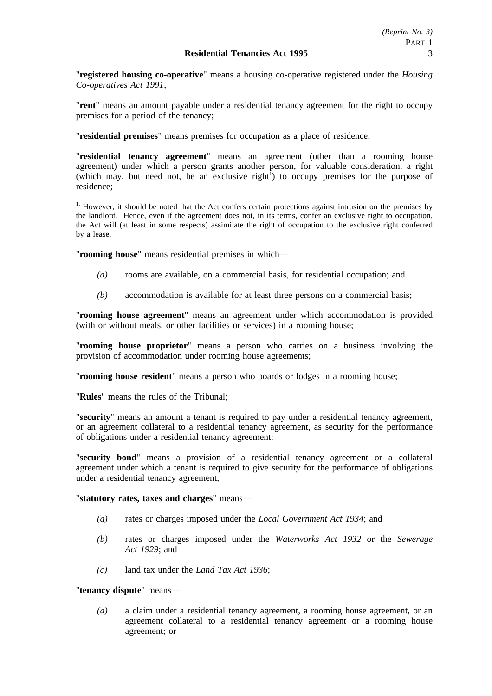"**registered housing co-operative**" means a housing co-operative registered under the *Housing Co-operatives Act 1991*;

"**rent**" means an amount payable under a residential tenancy agreement for the right to occupy premises for a period of the tenancy;

"**residential premises**" means premises for occupation as a place of residence;

"**residential tenancy agreement**" means an agreement (other than a rooming house agreement) under which a person grants another person, for valuable consideration, a right (which may, but need not, be an exclusive right<sup>1</sup>) to occupy premises for the purpose of residence;

<sup>1.</sup> However, it should be noted that the Act confers certain protections against intrusion on the premises by the landlord. Hence, even if the agreement does not, in its terms, confer an exclusive right to occupation, the Act will (at least in some respects) assimilate the right of occupation to the exclusive right conferred by a lease.

"**rooming house**" means residential premises in which—

- *(a)* rooms are available, on a commercial basis, for residential occupation; and
- *(b)* accommodation is available for at least three persons on a commercial basis;

"**rooming house agreement**" means an agreement under which accommodation is provided (with or without meals, or other facilities or services) in a rooming house;

"**rooming house proprietor**" means a person who carries on a business involving the provision of accommodation under rooming house agreements;

"**rooming house resident**" means a person who boards or lodges in a rooming house;

"**Rules**" means the rules of the Tribunal;

"**security**" means an amount a tenant is required to pay under a residential tenancy agreement, or an agreement collateral to a residential tenancy agreement, as security for the performance of obligations under a residential tenancy agreement;

"**security bond**" means a provision of a residential tenancy agreement or a collateral agreement under which a tenant is required to give security for the performance of obligations under a residential tenancy agreement;

## "**statutory rates, taxes and charges**" means—

- *(a)* rates or charges imposed under the *Local Government Act 1934*; and
- *(b)* rates or charges imposed under the *Waterworks Act 1932* or the *Sewerage Act 1929*; and
- *(c)* land tax under the *Land Tax Act 1936*;

## "**tenancy dispute**" means—

*(a)* a claim under a residential tenancy agreement, a rooming house agreement, or an agreement collateral to a residential tenancy agreement or a rooming house agreement; or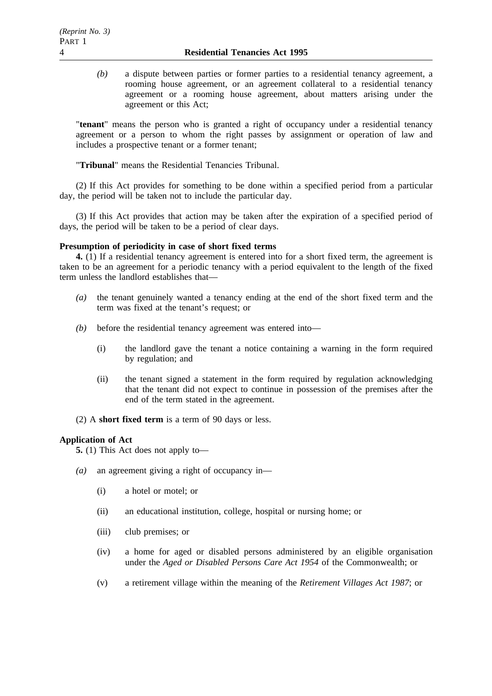*(b)* a dispute between parties or former parties to a residential tenancy agreement, a rooming house agreement, or an agreement collateral to a residential tenancy agreement or a rooming house agreement, about matters arising under the agreement or this Act;

"**tenant**" means the person who is granted a right of occupancy under a residential tenancy agreement or a person to whom the right passes by assignment or operation of law and includes a prospective tenant or a former tenant;

"**Tribunal**" means the Residential Tenancies Tribunal.

(2) If this Act provides for something to be done within a specified period from a particular day, the period will be taken not to include the particular day.

(3) If this Act provides that action may be taken after the expiration of a specified period of days, the period will be taken to be a period of clear days.

# **Presumption of periodicity in case of short fixed terms**

**4.** (1) If a residential tenancy agreement is entered into for a short fixed term, the agreement is taken to be an agreement for a periodic tenancy with a period equivalent to the length of the fixed term unless the landlord establishes that—

- *(a)* the tenant genuinely wanted a tenancy ending at the end of the short fixed term and the term was fixed at the tenant's request; or
- *(b)* before the residential tenancy agreement was entered into—
	- (i) the landlord gave the tenant a notice containing a warning in the form required by regulation; and
	- (ii) the tenant signed a statement in the form required by regulation acknowledging that the tenant did not expect to continue in possession of the premises after the end of the term stated in the agreement.
- (2) A **short fixed term** is a term of 90 days or less.

# **Application of Act**

**5.** (1) This Act does not apply to—

- *(a)* an agreement giving a right of occupancy in—
	- (i) a hotel or motel; or
	- (ii) an educational institution, college, hospital or nursing home; or
	- (iii) club premises; or
	- (iv) a home for aged or disabled persons administered by an eligible organisation under the *Aged or Disabled Persons Care Act 1954* of the Commonwealth; or
	- (v) a retirement village within the meaning of the *Retirement Villages Act 1987*; or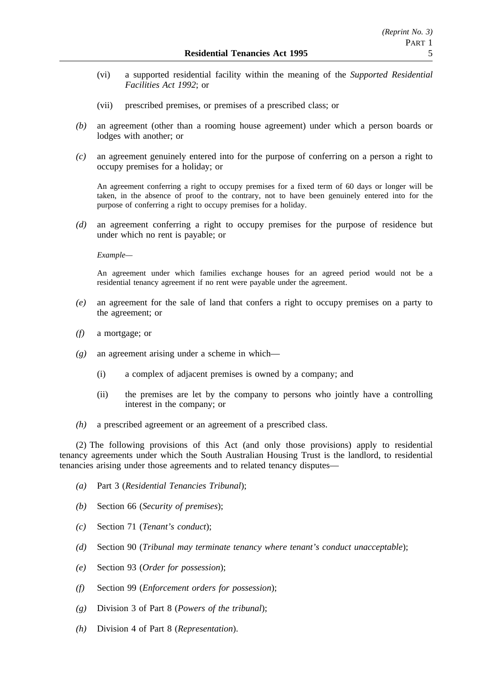- (vi) a supported residential facility within the meaning of the *Supported Residential Facilities Act 1992*; or
- (vii) prescribed premises, or premises of a prescribed class; or
- *(b)* an agreement (other than a rooming house agreement) under which a person boards or lodges with another; or
- *(c)* an agreement genuinely entered into for the purpose of conferring on a person a right to occupy premises for a holiday; or

An agreement conferring a right to occupy premises for a fixed term of 60 days or longer will be taken, in the absence of proof to the contrary, not to have been genuinely entered into for the purpose of conferring a right to occupy premises for a holiday.

*(d)* an agreement conferring a right to occupy premises for the purpose of residence but under which no rent is payable; or

*Example—*

An agreement under which families exchange houses for an agreed period would not be a residential tenancy agreement if no rent were payable under the agreement.

- *(e)* an agreement for the sale of land that confers a right to occupy premises on a party to the agreement; or
- *(f)* a mortgage; or
- *(g)* an agreement arising under a scheme in which—
	- (i) a complex of adjacent premises is owned by a company; and
	- (ii) the premises are let by the company to persons who jointly have a controlling interest in the company; or
- *(h)* a prescribed agreement or an agreement of a prescribed class.

(2) The following provisions of this Act (and only those provisions) apply to residential tenancy agreements under which the South Australian Housing Trust is the landlord, to residential tenancies arising under those agreements and to related tenancy disputes—

- *(a)* Part 3 (*Residential Tenancies Tribunal*);
- *(b)* Section 66 (*Security of premises*);
- *(c)* Section 71 (*Tenant's conduct*);
- *(d)* Section 90 (*Tribunal may terminate tenancy where tenant's conduct unacceptable*);
- *(e)* Section 93 (*Order for possession*);
- *(f)* Section 99 (*Enforcement orders for possession*);
- *(g)* Division 3 of Part 8 (*Powers of the tribunal*);
- *(h)* Division 4 of Part 8 (*Representation*).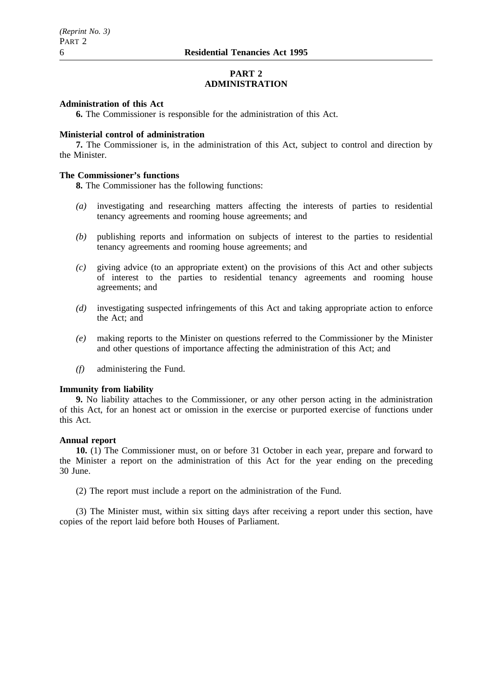# **PART 2 ADMINISTRATION**

#### **Administration of this Act**

**6.** The Commissioner is responsible for the administration of this Act.

#### **Ministerial control of administration**

**7.** The Commissioner is, in the administration of this Act, subject to control and direction by the Minister.

## **The Commissioner's functions**

**8.** The Commissioner has the following functions:

- *(a)* investigating and researching matters affecting the interests of parties to residential tenancy agreements and rooming house agreements; and
- *(b)* publishing reports and information on subjects of interest to the parties to residential tenancy agreements and rooming house agreements; and
- *(c)* giving advice (to an appropriate extent) on the provisions of this Act and other subjects of interest to the parties to residential tenancy agreements and rooming house agreements; and
- *(d)* investigating suspected infringements of this Act and taking appropriate action to enforce the Act; and
- *(e)* making reports to the Minister on questions referred to the Commissioner by the Minister and other questions of importance affecting the administration of this Act; and
- *(f)* administering the Fund.

#### **Immunity from liability**

**9.** No liability attaches to the Commissioner, or any other person acting in the administration of this Act, for an honest act or omission in the exercise or purported exercise of functions under this Act.

## **Annual report**

**10.** (1) The Commissioner must, on or before 31 October in each year, prepare and forward to the Minister a report on the administration of this Act for the year ending on the preceding 30 June.

(2) The report must include a report on the administration of the Fund.

(3) The Minister must, within six sitting days after receiving a report under this section, have copies of the report laid before both Houses of Parliament.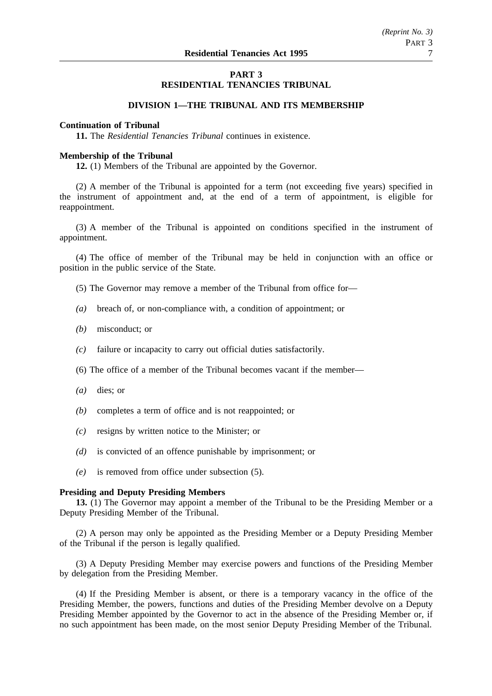# **PART 3 RESIDENTIAL TENANCIES TRIBUNAL**

# **DIVISION 1—THE TRIBUNAL AND ITS MEMBERSHIP**

# **Continuation of Tribunal**

**11.** The *Residential Tenancies Tribunal* continues in existence.

## **Membership of the Tribunal**

**12.** (1) Members of the Tribunal are appointed by the Governor.

(2) A member of the Tribunal is appointed for a term (not exceeding five years) specified in the instrument of appointment and, at the end of a term of appointment, is eligible for reappointment.

(3) A member of the Tribunal is appointed on conditions specified in the instrument of appointment.

(4) The office of member of the Tribunal may be held in conjunction with an office or position in the public service of the State.

- (5) The Governor may remove a member of the Tribunal from office for—
- *(a)* breach of, or non-compliance with, a condition of appointment; or
- *(b)* misconduct; or
- *(c)* failure or incapacity to carry out official duties satisfactorily.
- (6) The office of a member of the Tribunal becomes vacant if the member—
- *(a)* dies; or
- *(b)* completes a term of office and is not reappointed; or
- *(c)* resigns by written notice to the Minister; or
- *(d)* is convicted of an offence punishable by imprisonment; or
- *(e)* is removed from office under subsection (5).

## **Presiding and Deputy Presiding Members**

**13.** (1) The Governor may appoint a member of the Tribunal to be the Presiding Member or a Deputy Presiding Member of the Tribunal.

(2) A person may only be appointed as the Presiding Member or a Deputy Presiding Member of the Tribunal if the person is legally qualified.

(3) A Deputy Presiding Member may exercise powers and functions of the Presiding Member by delegation from the Presiding Member.

(4) If the Presiding Member is absent, or there is a temporary vacancy in the office of the Presiding Member, the powers, functions and duties of the Presiding Member devolve on a Deputy Presiding Member appointed by the Governor to act in the absence of the Presiding Member or, if no such appointment has been made, on the most senior Deputy Presiding Member of the Tribunal.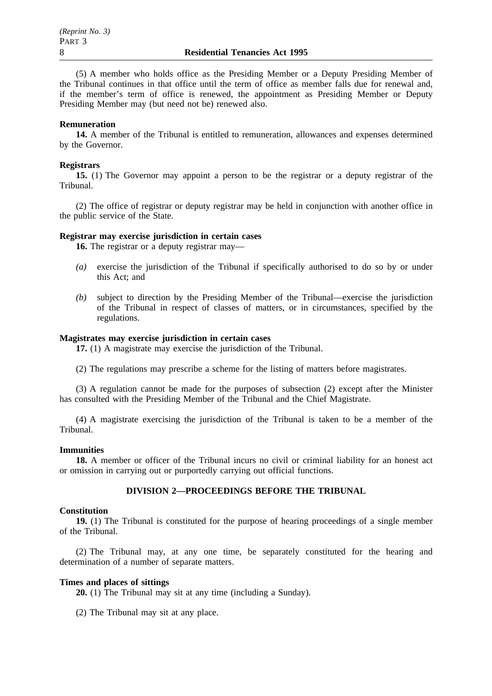(5) A member who holds office as the Presiding Member or a Deputy Presiding Member of the Tribunal continues in that office until the term of office as member falls due for renewal and, if the member's term of office is renewed, the appointment as Presiding Member or Deputy Presiding Member may (but need not be) renewed also.

#### **Remuneration**

**14.** A member of the Tribunal is entitled to remuneration, allowances and expenses determined by the Governor.

#### **Registrars**

**15.** (1) The Governor may appoint a person to be the registrar or a deputy registrar of the Tribunal.

(2) The office of registrar or deputy registrar may be held in conjunction with another office in the public service of the State.

#### **Registrar may exercise jurisdiction in certain cases**

**16.** The registrar or a deputy registrar may—

- *(a)* exercise the jurisdiction of the Tribunal if specifically authorised to do so by or under this Act; and
- *(b)* subject to direction by the Presiding Member of the Tribunal—exercise the jurisdiction of the Tribunal in respect of classes of matters, or in circumstances, specified by the regulations.

# **Magistrates may exercise jurisdiction in certain cases**

**17.** (1) A magistrate may exercise the jurisdiction of the Tribunal.

(2) The regulations may prescribe a scheme for the listing of matters before magistrates.

(3) A regulation cannot be made for the purposes of subsection (2) except after the Minister has consulted with the Presiding Member of the Tribunal and the Chief Magistrate.

(4) A magistrate exercising the jurisdiction of the Tribunal is taken to be a member of the Tribunal.

#### **Immunities**

**18.** A member or officer of the Tribunal incurs no civil or criminal liability for an honest act or omission in carrying out or purportedly carrying out official functions.

## **DIVISION 2—PROCEEDINGS BEFORE THE TRIBUNAL**

## **Constitution**

**19.** (1) The Tribunal is constituted for the purpose of hearing proceedings of a single member of the Tribunal.

(2) The Tribunal may, at any one time, be separately constituted for the hearing and determination of a number of separate matters.

## **Times and places of sittings**

**20.** (1) The Tribunal may sit at any time (including a Sunday).

(2) The Tribunal may sit at any place.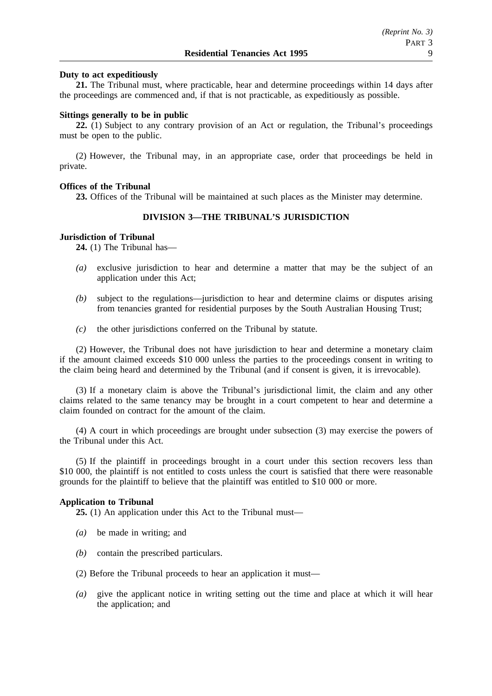## **Duty to act expeditiously**

**21.** The Tribunal must, where practicable, hear and determine proceedings within 14 days after the proceedings are commenced and, if that is not practicable, as expeditiously as possible.

#### **Sittings generally to be in public**

**22.** (1) Subject to any contrary provision of an Act or regulation, the Tribunal's proceedings must be open to the public.

(2) However, the Tribunal may, in an appropriate case, order that proceedings be held in private.

#### **Offices of the Tribunal**

**23.** Offices of the Tribunal will be maintained at such places as the Minister may determine.

# **DIVISION 3—THE TRIBUNAL'S JURISDICTION**

#### **Jurisdiction of Tribunal**

**24.** (1) The Tribunal has—

- *(a)* exclusive jurisdiction to hear and determine a matter that may be the subject of an application under this Act;
- *(b)* subject to the regulations—jurisdiction to hear and determine claims or disputes arising from tenancies granted for residential purposes by the South Australian Housing Trust;
- *(c)* the other jurisdictions conferred on the Tribunal by statute.

(2) However, the Tribunal does not have jurisdiction to hear and determine a monetary claim if the amount claimed exceeds \$10 000 unless the parties to the proceedings consent in writing to the claim being heard and determined by the Tribunal (and if consent is given, it is irrevocable).

(3) If a monetary claim is above the Tribunal's jurisdictional limit, the claim and any other claims related to the same tenancy may be brought in a court competent to hear and determine a claim founded on contract for the amount of the claim.

(4) A court in which proceedings are brought under subsection (3) may exercise the powers of the Tribunal under this Act.

(5) If the plaintiff in proceedings brought in a court under this section recovers less than \$10 000, the plaintiff is not entitled to costs unless the court is satisfied that there were reasonable grounds for the plaintiff to believe that the plaintiff was entitled to \$10 000 or more.

#### **Application to Tribunal**

**25.** (1) An application under this Act to the Tribunal must—

- *(a)* be made in writing; and
- *(b)* contain the prescribed particulars.
- (2) Before the Tribunal proceeds to hear an application it must—
- *(a)* give the applicant notice in writing setting out the time and place at which it will hear the application; and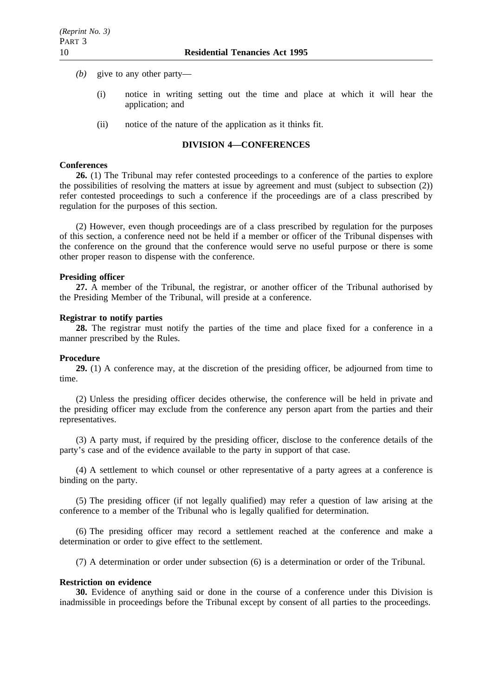- *(b)* give to any other party—
	- (i) notice in writing setting out the time and place at which it will hear the application; and
	- (ii) notice of the nature of the application as it thinks fit.

# **DIVISION 4—CONFERENCES**

#### **Conferences**

**26.** (1) The Tribunal may refer contested proceedings to a conference of the parties to explore the possibilities of resolving the matters at issue by agreement and must (subject to subsection (2)) refer contested proceedings to such a conference if the proceedings are of a class prescribed by regulation for the purposes of this section.

(2) However, even though proceedings are of a class prescribed by regulation for the purposes of this section, a conference need not be held if a member or officer of the Tribunal dispenses with the conference on the ground that the conference would serve no useful purpose or there is some other proper reason to dispense with the conference.

#### **Presiding officer**

**27.** A member of the Tribunal, the registrar, or another officer of the Tribunal authorised by the Presiding Member of the Tribunal, will preside at a conference.

#### **Registrar to notify parties**

**28.** The registrar must notify the parties of the time and place fixed for a conference in a manner prescribed by the Rules.

#### **Procedure**

**29.** (1) A conference may, at the discretion of the presiding officer, be adjourned from time to time.

(2) Unless the presiding officer decides otherwise, the conference will be held in private and the presiding officer may exclude from the conference any person apart from the parties and their representatives.

(3) A party must, if required by the presiding officer, disclose to the conference details of the party's case and of the evidence available to the party in support of that case.

(4) A settlement to which counsel or other representative of a party agrees at a conference is binding on the party.

(5) The presiding officer (if not legally qualified) may refer a question of law arising at the conference to a member of the Tribunal who is legally qualified for determination.

(6) The presiding officer may record a settlement reached at the conference and make a determination or order to give effect to the settlement.

(7) A determination or order under subsection (6) is a determination or order of the Tribunal.

#### **Restriction on evidence**

**30.** Evidence of anything said or done in the course of a conference under this Division is inadmissible in proceedings before the Tribunal except by consent of all parties to the proceedings.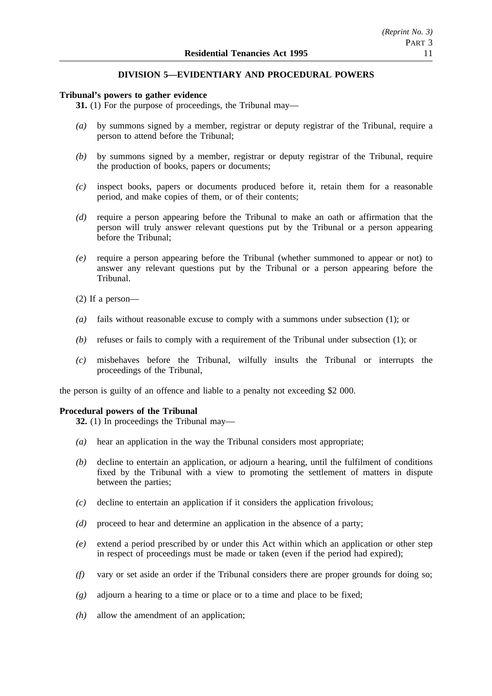# **DIVISION 5—EVIDENTIARY AND PROCEDURAL POWERS**

## **Tribunal's powers to gather evidence**

**31.** (1) For the purpose of proceedings, the Tribunal may—

- *(a)* by summons signed by a member, registrar or deputy registrar of the Tribunal, require a person to attend before the Tribunal;
- *(b)* by summons signed by a member, registrar or deputy registrar of the Tribunal, require the production of books, papers or documents;
- *(c)* inspect books, papers or documents produced before it, retain them for a reasonable period, and make copies of them, or of their contents;
- *(d)* require a person appearing before the Tribunal to make an oath or affirmation that the person will truly answer relevant questions put by the Tribunal or a person appearing before the Tribunal;
- *(e)* require a person appearing before the Tribunal (whether summoned to appear or not) to answer any relevant questions put by the Tribunal or a person appearing before the Tribunal.
- (2) If a person—
- *(a)* fails without reasonable excuse to comply with a summons under subsection (1); or
- *(b)* refuses or fails to comply with a requirement of the Tribunal under subsection (1); or
- *(c)* misbehaves before the Tribunal, wilfully insults the Tribunal or interrupts the proceedings of the Tribunal,

the person is guilty of an offence and liable to a penalty not exceeding \$2 000.

# **Procedural powers of the Tribunal**

**32.** (1) In proceedings the Tribunal may—

- *(a)* hear an application in the way the Tribunal considers most appropriate;
- *(b)* decline to entertain an application, or adjourn a hearing, until the fulfilment of conditions fixed by the Tribunal with a view to promoting the settlement of matters in dispute between the parties;
- *(c)* decline to entertain an application if it considers the application frivolous;
- *(d)* proceed to hear and determine an application in the absence of a party;
- *(e)* extend a period prescribed by or under this Act within which an application or other step in respect of proceedings must be made or taken (even if the period had expired);
- *(f)* vary or set aside an order if the Tribunal considers there are proper grounds for doing so;
- *(g)* adjourn a hearing to a time or place or to a time and place to be fixed;
- *(h)* allow the amendment of an application;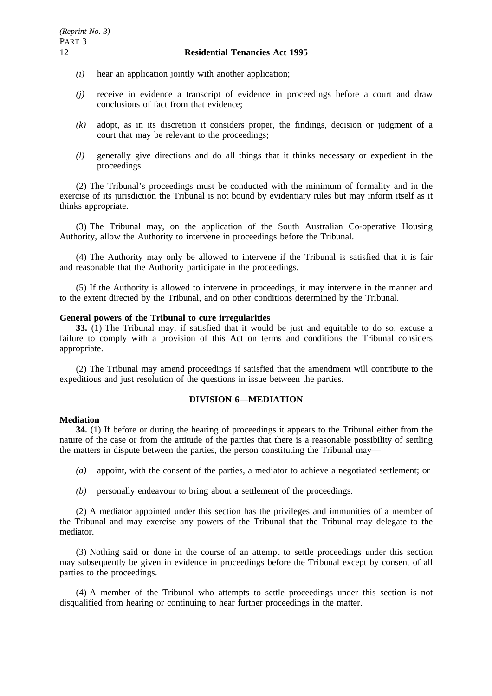- *(i)* hear an application jointly with another application;
- *(j)* receive in evidence a transcript of evidence in proceedings before a court and draw conclusions of fact from that evidence;
- *(k)* adopt, as in its discretion it considers proper, the findings, decision or judgment of a court that may be relevant to the proceedings;
- *(l)* generally give directions and do all things that it thinks necessary or expedient in the proceedings.

(2) The Tribunal's proceedings must be conducted with the minimum of formality and in the exercise of its jurisdiction the Tribunal is not bound by evidentiary rules but may inform itself as it thinks appropriate.

(3) The Tribunal may, on the application of the South Australian Co-operative Housing Authority, allow the Authority to intervene in proceedings before the Tribunal.

(4) The Authority may only be allowed to intervene if the Tribunal is satisfied that it is fair and reasonable that the Authority participate in the proceedings.

(5) If the Authority is allowed to intervene in proceedings, it may intervene in the manner and to the extent directed by the Tribunal, and on other conditions determined by the Tribunal.

#### **General powers of the Tribunal to cure irregularities**

**33.** (1) The Tribunal may, if satisfied that it would be just and equitable to do so, excuse a failure to comply with a provision of this Act on terms and conditions the Tribunal considers appropriate.

(2) The Tribunal may amend proceedings if satisfied that the amendment will contribute to the expeditious and just resolution of the questions in issue between the parties.

# **DIVISION 6—MEDIATION**

#### **Mediation**

**34.** (1) If before or during the hearing of proceedings it appears to the Tribunal either from the nature of the case or from the attitude of the parties that there is a reasonable possibility of settling the matters in dispute between the parties, the person constituting the Tribunal may—

- *(a)* appoint, with the consent of the parties, a mediator to achieve a negotiated settlement; or
- *(b)* personally endeavour to bring about a settlement of the proceedings.

(2) A mediator appointed under this section has the privileges and immunities of a member of the Tribunal and may exercise any powers of the Tribunal that the Tribunal may delegate to the mediator.

(3) Nothing said or done in the course of an attempt to settle proceedings under this section may subsequently be given in evidence in proceedings before the Tribunal except by consent of all parties to the proceedings.

(4) A member of the Tribunal who attempts to settle proceedings under this section is not disqualified from hearing or continuing to hear further proceedings in the matter.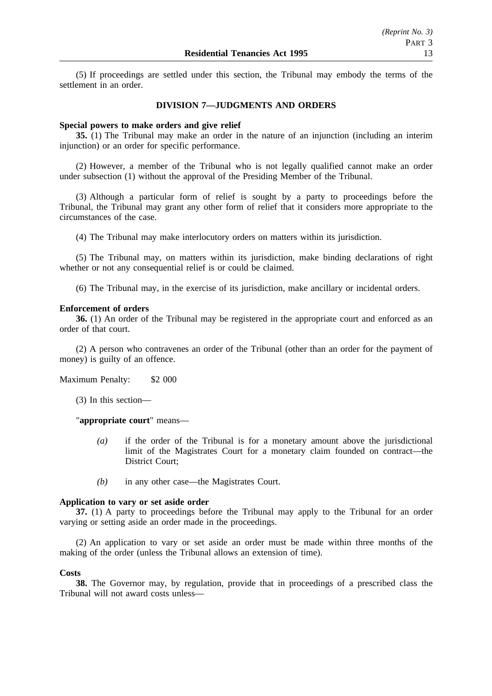(5) If proceedings are settled under this section, the Tribunal may embody the terms of the settlement in an order.

## **DIVISION 7—JUDGMENTS AND ORDERS**

#### **Special powers to make orders and give relief**

**35.** (1) The Tribunal may make an order in the nature of an injunction (including an interim injunction) or an order for specific performance.

(2) However, a member of the Tribunal who is not legally qualified cannot make an order under subsection (1) without the approval of the Presiding Member of the Tribunal.

(3) Although a particular form of relief is sought by a party to proceedings before the Tribunal, the Tribunal may grant any other form of relief that it considers more appropriate to the circumstances of the case.

(4) The Tribunal may make interlocutory orders on matters within its jurisdiction.

(5) The Tribunal may, on matters within its jurisdiction, make binding declarations of right whether or not any consequential relief is or could be claimed.

(6) The Tribunal may, in the exercise of its jurisdiction, make ancillary or incidental orders.

#### **Enforcement of orders**

**36.** (1) An order of the Tribunal may be registered in the appropriate court and enforced as an order of that court.

(2) A person who contravenes an order of the Tribunal (other than an order for the payment of money) is guilty of an offence.

Maximum Penalty: \$2 000

(3) In this section—

"**appropriate court**" means—

- *(a)* if the order of the Tribunal is for a monetary amount above the jurisdictional limit of the Magistrates Court for a monetary claim founded on contract—the District Court;
- *(b)* in any other case—the Magistrates Court.

## **Application to vary or set aside order**

**37.** (1) A party to proceedings before the Tribunal may apply to the Tribunal for an order varying or setting aside an order made in the proceedings.

(2) An application to vary or set aside an order must be made within three months of the making of the order (unless the Tribunal allows an extension of time).

#### **Costs**

**38.** The Governor may, by regulation, provide that in proceedings of a prescribed class the Tribunal will not award costs unless—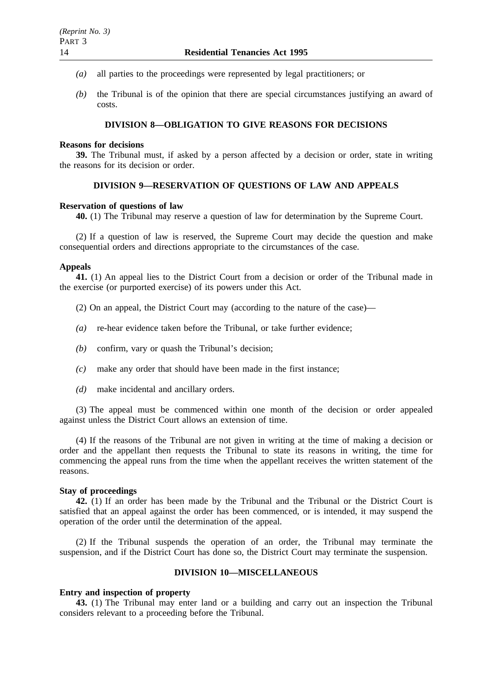- *(a)* all parties to the proceedings were represented by legal practitioners; or
- *(b)* the Tribunal is of the opinion that there are special circumstances justifying an award of costs.

# **DIVISION 8—OBLIGATION TO GIVE REASONS FOR DECISIONS**

#### **Reasons for decisions**

**39.** The Tribunal must, if asked by a person affected by a decision or order, state in writing the reasons for its decision or order.

## **DIVISION 9—RESERVATION OF QUESTIONS OF LAW AND APPEALS**

#### **Reservation of questions of law**

**40.** (1) The Tribunal may reserve a question of law for determination by the Supreme Court.

(2) If a question of law is reserved, the Supreme Court may decide the question and make consequential orders and directions appropriate to the circumstances of the case.

## **Appeals**

**41.** (1) An appeal lies to the District Court from a decision or order of the Tribunal made in the exercise (or purported exercise) of its powers under this Act.

- (2) On an appeal, the District Court may (according to the nature of the case)—
- *(a)* re-hear evidence taken before the Tribunal, or take further evidence;
- *(b)* confirm, vary or quash the Tribunal's decision;
- *(c)* make any order that should have been made in the first instance;
- *(d)* make incidental and ancillary orders.

(3) The appeal must be commenced within one month of the decision or order appealed against unless the District Court allows an extension of time.

(4) If the reasons of the Tribunal are not given in writing at the time of making a decision or order and the appellant then requests the Tribunal to state its reasons in writing, the time for commencing the appeal runs from the time when the appellant receives the written statement of the reasons.

#### **Stay of proceedings**

**42.** (1) If an order has been made by the Tribunal and the Tribunal or the District Court is satisfied that an appeal against the order has been commenced, or is intended, it may suspend the operation of the order until the determination of the appeal.

(2) If the Tribunal suspends the operation of an order, the Tribunal may terminate the suspension, and if the District Court has done so, the District Court may terminate the suspension.

# **DIVISION 10—MISCELLANEOUS**

#### **Entry and inspection of property**

**43.** (1) The Tribunal may enter land or a building and carry out an inspection the Tribunal considers relevant to a proceeding before the Tribunal.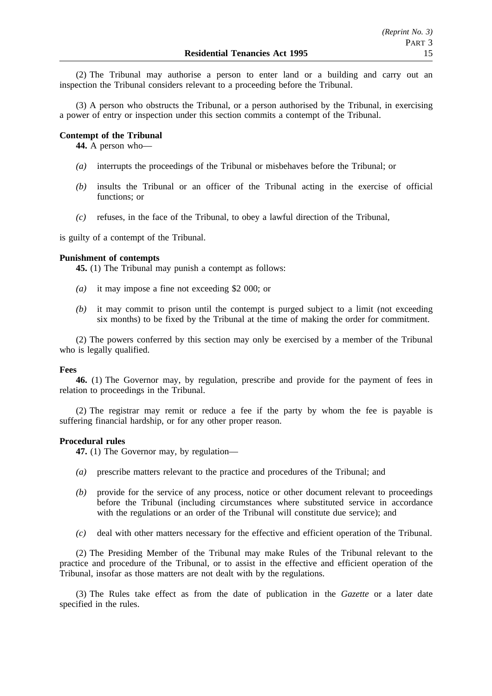(2) The Tribunal may authorise a person to enter land or a building and carry out an inspection the Tribunal considers relevant to a proceeding before the Tribunal.

(3) A person who obstructs the Tribunal, or a person authorised by the Tribunal, in exercising a power of entry or inspection under this section commits a contempt of the Tribunal.

## **Contempt of the Tribunal**

**44.** A person who—

- *(a)* interrupts the proceedings of the Tribunal or misbehaves before the Tribunal; or
- *(b)* insults the Tribunal or an officer of the Tribunal acting in the exercise of official functions; or
- *(c)* refuses, in the face of the Tribunal, to obey a lawful direction of the Tribunal,

is guilty of a contempt of the Tribunal.

# **Punishment of contempts**

**45.** (1) The Tribunal may punish a contempt as follows:

- *(a)* it may impose a fine not exceeding \$2 000; or
- *(b)* it may commit to prison until the contempt is purged subject to a limit (not exceeding six months) to be fixed by the Tribunal at the time of making the order for commitment.

(2) The powers conferred by this section may only be exercised by a member of the Tribunal who is legally qualified.

## **Fees**

**46.** (1) The Governor may, by regulation, prescribe and provide for the payment of fees in relation to proceedings in the Tribunal.

(2) The registrar may remit or reduce a fee if the party by whom the fee is payable is suffering financial hardship, or for any other proper reason.

## **Procedural rules**

**47.** (1) The Governor may, by regulation—

- *(a)* prescribe matters relevant to the practice and procedures of the Tribunal; and
- *(b)* provide for the service of any process, notice or other document relevant to proceedings before the Tribunal (including circumstances where substituted service in accordance with the regulations or an order of the Tribunal will constitute due service); and
- *(c)* deal with other matters necessary for the effective and efficient operation of the Tribunal.

(2) The Presiding Member of the Tribunal may make Rules of the Tribunal relevant to the practice and procedure of the Tribunal, or to assist in the effective and efficient operation of the Tribunal, insofar as those matters are not dealt with by the regulations.

(3) The Rules take effect as from the date of publication in the *Gazette* or a later date specified in the rules.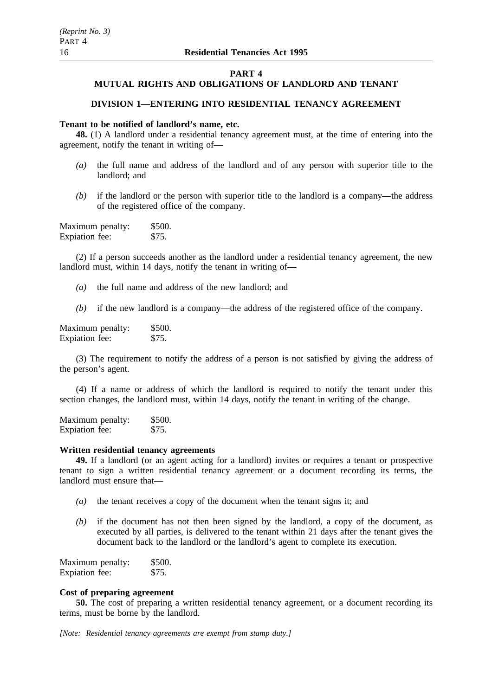#### **PART 4**

# **MUTUAL RIGHTS AND OBLIGATIONS OF LANDLORD AND TENANT**

# **DIVISION 1—ENTERING INTO RESIDENTIAL TENANCY AGREEMENT**

## **Tenant to be notified of landlord's name, etc.**

**48.** (1) A landlord under a residential tenancy agreement must, at the time of entering into the agreement, notify the tenant in writing of—

- *(a)* the full name and address of the landlord and of any person with superior title to the landlord; and
- *(b)* if the landlord or the person with superior title to the landlord is a company—the address of the registered office of the company.

| Maximum penalty: | \$500. |
|------------------|--------|
| Expiation fee:   | \$75.  |

(2) If a person succeeds another as the landlord under a residential tenancy agreement, the new landlord must, within 14 days, notify the tenant in writing of—

- *(a)* the full name and address of the new landlord; and
- *(b)* if the new landlord is a company—the address of the registered office of the company.

Maximum penalty: \$500. Expiation fee: \$75.

(3) The requirement to notify the address of a person is not satisfied by giving the address of the person's agent.

(4) If a name or address of which the landlord is required to notify the tenant under this section changes, the landlord must, within 14 days, notify the tenant in writing of the change.

Maximum penalty: \$500.<br>Exploration fee: \$75. Expiation fee:

## **Written residential tenancy agreements**

**49.** If a landlord (or an agent acting for a landlord) invites or requires a tenant or prospective tenant to sign a written residential tenancy agreement or a document recording its terms, the landlord must ensure that—

- *(a)* the tenant receives a copy of the document when the tenant signs it; and
- *(b)* if the document has not then been signed by the landlord, a copy of the document, as executed by all parties, is delivered to the tenant within 21 days after the tenant gives the document back to the landlord or the landlord's agent to complete its execution.

| Maximum penalty: | \$500. |
|------------------|--------|
| Expiation fee:   | \$75.  |

## **Cost of preparing agreement**

**50.** The cost of preparing a written residential tenancy agreement, or a document recording its terms, must be borne by the landlord.

*[Note: Residential tenancy agreements are exempt from stamp duty.]*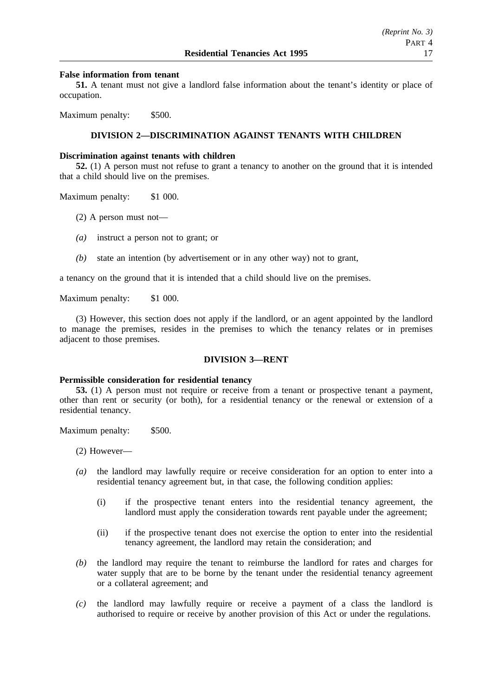## **False information from tenant**

**51.** A tenant must not give a landlord false information about the tenant's identity or place of occupation.

Maximum penalty: \$500.

# **DIVISION 2—DISCRIMINATION AGAINST TENANTS WITH CHILDREN**

#### **Discrimination against tenants with children**

**52.** (1) A person must not refuse to grant a tenancy to another on the ground that it is intended that a child should live on the premises.

Maximum penalty: \$1 000.

- (2) A person must not—
- *(a)* instruct a person not to grant; or
- *(b)* state an intention (by advertisement or in any other way) not to grant,

a tenancy on the ground that it is intended that a child should live on the premises.

Maximum penalty: \$1 000.

(3) However, this section does not apply if the landlord, or an agent appointed by the landlord to manage the premises, resides in the premises to which the tenancy relates or in premises adjacent to those premises.

#### **DIVISION 3—RENT**

#### **Permissible consideration for residential tenancy**

**53.** (1) A person must not require or receive from a tenant or prospective tenant a payment, other than rent or security (or both), for a residential tenancy or the renewal or extension of a residential tenancy.

Maximum penalty: \$500.

(2) However—

- *(a)* the landlord may lawfully require or receive consideration for an option to enter into a residential tenancy agreement but, in that case, the following condition applies:
	- (i) if the prospective tenant enters into the residential tenancy agreement, the landlord must apply the consideration towards rent payable under the agreement;
	- (ii) if the prospective tenant does not exercise the option to enter into the residential tenancy agreement, the landlord may retain the consideration; and
- *(b)* the landlord may require the tenant to reimburse the landlord for rates and charges for water supply that are to be borne by the tenant under the residential tenancy agreement or a collateral agreement; and
- *(c)* the landlord may lawfully require or receive a payment of a class the landlord is authorised to require or receive by another provision of this Act or under the regulations.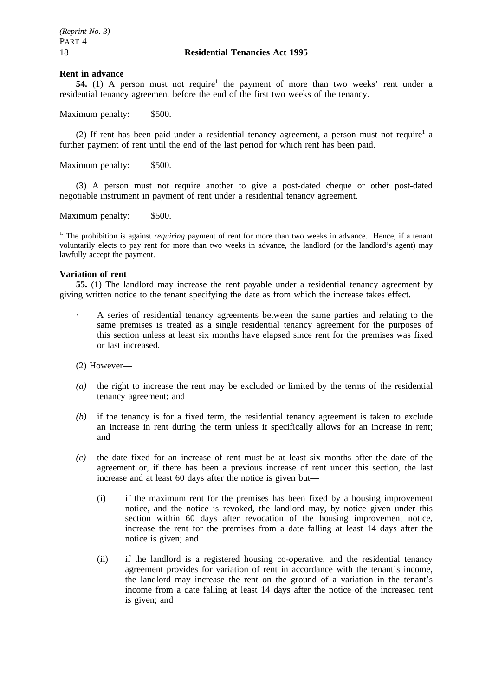#### **Rent in advance**

**54.** (1) A person must not require<sup>1</sup> the payment of more than two weeks' rent under a residential tenancy agreement before the end of the first two weeks of the tenancy.

Maximum penalty: \$500.

(2) If rent has been paid under a residential tenancy agreement, a person must not require<sup>1</sup> a further payment of rent until the end of the last period for which rent has been paid.

Maximum penalty: \$500.

(3) A person must not require another to give a post-dated cheque or other post-dated negotiable instrument in payment of rent under a residential tenancy agreement.

Maximum penalty: \$500.

<sup>1.</sup> The prohibition is against *requiring* payment of rent for more than two weeks in advance. Hence, if a tenant voluntarily elects to pay rent for more than two weeks in advance, the landlord (or the landlord's agent) may lawfully accept the payment.

#### **Variation of rent**

**55.** (1) The landlord may increase the rent payable under a residential tenancy agreement by giving written notice to the tenant specifying the date as from which the increase takes effect.

- A series of residential tenancy agreements between the same parties and relating to the same premises is treated as a single residential tenancy agreement for the purposes of this section unless at least six months have elapsed since rent for the premises was fixed or last increased.
- (2) However—
- *(a)* the right to increase the rent may be excluded or limited by the terms of the residential tenancy agreement; and
- *(b)* if the tenancy is for a fixed term, the residential tenancy agreement is taken to exclude an increase in rent during the term unless it specifically allows for an increase in rent; and
- *(c)* the date fixed for an increase of rent must be at least six months after the date of the agreement or, if there has been a previous increase of rent under this section, the last increase and at least 60 days after the notice is given but—
	- (i) if the maximum rent for the premises has been fixed by a housing improvement notice, and the notice is revoked, the landlord may, by notice given under this section within 60 days after revocation of the housing improvement notice, increase the rent for the premises from a date falling at least 14 days after the notice is given; and
	- (ii) if the landlord is a registered housing co-operative, and the residential tenancy agreement provides for variation of rent in accordance with the tenant's income, the landlord may increase the rent on the ground of a variation in the tenant's income from a date falling at least 14 days after the notice of the increased rent is given; and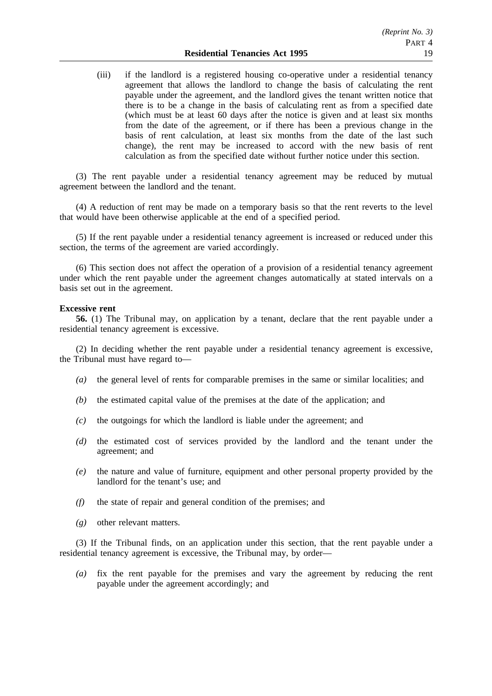(iii) if the landlord is a registered housing co-operative under a residential tenancy agreement that allows the landlord to change the basis of calculating the rent payable under the agreement, and the landlord gives the tenant written notice that there is to be a change in the basis of calculating rent as from a specified date (which must be at least 60 days after the notice is given and at least six months from the date of the agreement, or if there has been a previous change in the basis of rent calculation, at least six months from the date of the last such change), the rent may be increased to accord with the new basis of rent calculation as from the specified date without further notice under this section.

(3) The rent payable under a residential tenancy agreement may be reduced by mutual agreement between the landlord and the tenant.

(4) A reduction of rent may be made on a temporary basis so that the rent reverts to the level that would have been otherwise applicable at the end of a specified period.

(5) If the rent payable under a residential tenancy agreement is increased or reduced under this section, the terms of the agreement are varied accordingly.

(6) This section does not affect the operation of a provision of a residential tenancy agreement under which the rent payable under the agreement changes automatically at stated intervals on a basis set out in the agreement.

#### **Excessive rent**

**56.** (1) The Tribunal may, on application by a tenant, declare that the rent payable under a residential tenancy agreement is excessive.

(2) In deciding whether the rent payable under a residential tenancy agreement is excessive, the Tribunal must have regard to—

- *(a)* the general level of rents for comparable premises in the same or similar localities; and
- *(b)* the estimated capital value of the premises at the date of the application; and
- *(c)* the outgoings for which the landlord is liable under the agreement; and
- *(d)* the estimated cost of services provided by the landlord and the tenant under the agreement; and
- *(e)* the nature and value of furniture, equipment and other personal property provided by the landlord for the tenant's use; and
- *(f)* the state of repair and general condition of the premises; and
- *(g)* other relevant matters.

(3) If the Tribunal finds, on an application under this section, that the rent payable under a residential tenancy agreement is excessive, the Tribunal may, by order—

*(a)* fix the rent payable for the premises and vary the agreement by reducing the rent payable under the agreement accordingly; and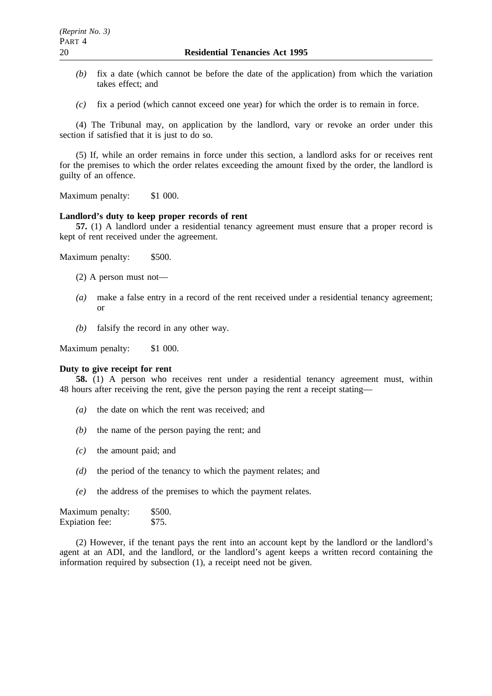- *(b)* fix a date (which cannot be before the date of the application) from which the variation takes effect; and
- *(c)* fix a period (which cannot exceed one year) for which the order is to remain in force.

(4) The Tribunal may, on application by the landlord, vary or revoke an order under this section if satisfied that it is just to do so.

(5) If, while an order remains in force under this section, a landlord asks for or receives rent for the premises to which the order relates exceeding the amount fixed by the order, the landlord is guilty of an offence.

Maximum penalty: \$1 000.

# **Landlord's duty to keep proper records of rent**

**57.** (1) A landlord under a residential tenancy agreement must ensure that a proper record is kept of rent received under the agreement.

Maximum penalty: \$500.

- (2) A person must not—
- *(a)* make a false entry in a record of the rent received under a residential tenancy agreement; or
- *(b)* falsify the record in any other way.

Maximum penalty: \$1 000.

#### **Duty to give receipt for rent**

**58.** (1) A person who receives rent under a residential tenancy agreement must, within 48 hours after receiving the rent, give the person paying the rent a receipt stating—

- *(a)* the date on which the rent was received; and
- *(b)* the name of the person paying the rent; and
- *(c)* the amount paid; and
- *(d)* the period of the tenancy to which the payment relates; and
- *(e)* the address of the premises to which the payment relates.

Maximum penalty: \$500. Expiation fee: \$75.

(2) However, if the tenant pays the rent into an account kept by the landlord or the landlord's agent at an ADI, and the landlord, or the landlord's agent keeps a written record containing the information required by subsection (1), a receipt need not be given.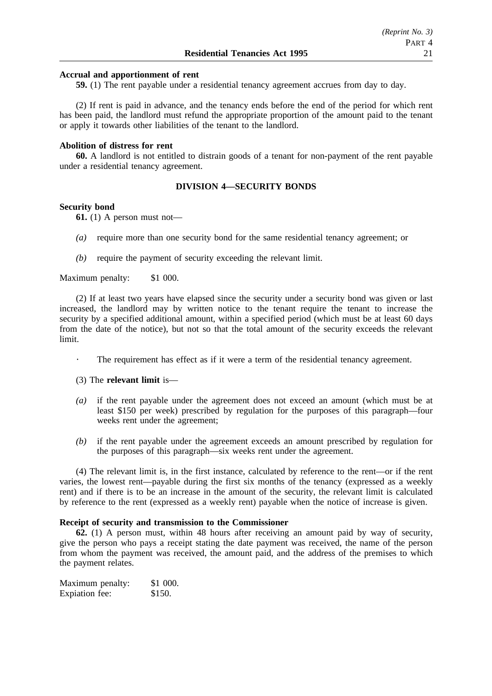## **Accrual and apportionment of rent**

**59.** (1) The rent payable under a residential tenancy agreement accrues from day to day.

(2) If rent is paid in advance, and the tenancy ends before the end of the period for which rent has been paid, the landlord must refund the appropriate proportion of the amount paid to the tenant or apply it towards other liabilities of the tenant to the landlord.

#### **Abolition of distress for rent**

**60.** A landlord is not entitled to distrain goods of a tenant for non-payment of the rent payable under a residential tenancy agreement.

## **DIVISION 4—SECURITY BONDS**

#### **Security bond**

 $\sim$ 

**61.** (1) A person must not—

- *(a)* require more than one security bond for the same residential tenancy agreement; or
- *(b)* require the payment of security exceeding the relevant limit.

Maximum penalty: \$1 000.

(2) If at least two years have elapsed since the security under a security bond was given or last increased, the landlord may by written notice to the tenant require the tenant to increase the security by a specified additional amount, within a specified period (which must be at least 60 days from the date of the notice), but not so that the total amount of the security exceeds the relevant limit.

- The requirement has effect as if it were a term of the residential tenancy agreement.
- (3) The **relevant limit** is—
- *(a)* if the rent payable under the agreement does not exceed an amount (which must be at least \$150 per week) prescribed by regulation for the purposes of this paragraph—four weeks rent under the agreement;
- *(b)* if the rent payable under the agreement exceeds an amount prescribed by regulation for the purposes of this paragraph—six weeks rent under the agreement.

(4) The relevant limit is, in the first instance, calculated by reference to the rent—or if the rent varies, the lowest rent—payable during the first six months of the tenancy (expressed as a weekly rent) and if there is to be an increase in the amount of the security, the relevant limit is calculated by reference to the rent (expressed as a weekly rent) payable when the notice of increase is given.

# **Receipt of security and transmission to the Commissioner**

**62.** (1) A person must, within 48 hours after receiving an amount paid by way of security, give the person who pays a receipt stating the date payment was received, the name of the person from whom the payment was received, the amount paid, and the address of the premises to which the payment relates.

Maximum penalty: \$1 000. Expiation fee: \$150.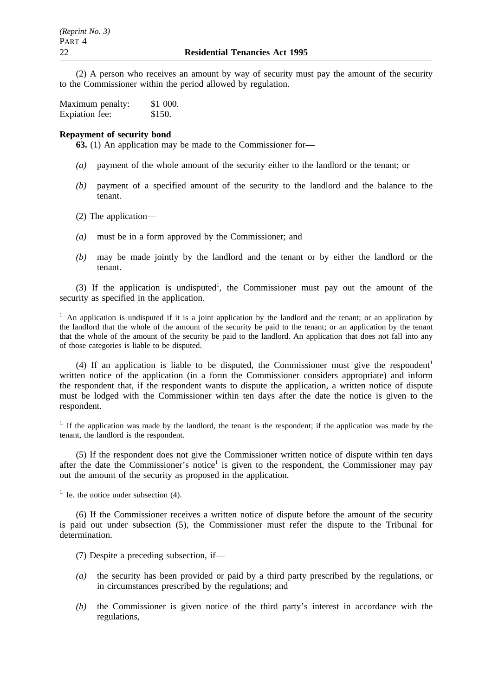(2) A person who receives an amount by way of security must pay the amount of the security to the Commissioner within the period allowed by regulation.

| Maximum penalty: | \$1 000. |
|------------------|----------|
| Expiation fee:   | \$150.   |

#### **Repayment of security bond**

**63.** (1) An application may be made to the Commissioner for—

- *(a)* payment of the whole amount of the security either to the landlord or the tenant; or
- *(b)* payment of a specified amount of the security to the landlord and the balance to the tenant.
- (2) The application—
- *(a)* must be in a form approved by the Commissioner; and
- *(b)* may be made jointly by the landlord and the tenant or by either the landlord or the tenant.

(3) If the application is undisputed<sup>1</sup>, the Commissioner must pay out the amount of the security as specified in the application.

<sup>1.</sup> An application is undisputed if it is a joint application by the landlord and the tenant; or an application by the landlord that the whole of the amount of the security be paid to the tenant; or an application by the tenant that the whole of the amount of the security be paid to the landlord. An application that does not fall into any of those categories is liable to be disputed.

(4) If an application is liable to be disputed, the Commissioner must give the respondent<sup>1</sup> written notice of the application (in a form the Commissioner considers appropriate) and inform the respondent that, if the respondent wants to dispute the application, a written notice of dispute must be lodged with the Commissioner within ten days after the date the notice is given to the respondent.

<sup>1.</sup> If the application was made by the landlord, the tenant is the respondent; if the application was made by the tenant, the landlord is the respondent.

(5) If the respondent does not give the Commissioner written notice of dispute within ten days after the date the Commissioner's notice<sup>1</sup> is given to the respondent, the Commissioner may pay out the amount of the security as proposed in the application.

<sup>1.</sup> Ie. the notice under subsection  $(4)$ .

(6) If the Commissioner receives a written notice of dispute before the amount of the security is paid out under subsection (5), the Commissioner must refer the dispute to the Tribunal for determination.

(7) Despite a preceding subsection, if—

- *(a)* the security has been provided or paid by a third party prescribed by the regulations, or in circumstances prescribed by the regulations; and
- *(b)* the Commissioner is given notice of the third party's interest in accordance with the regulations,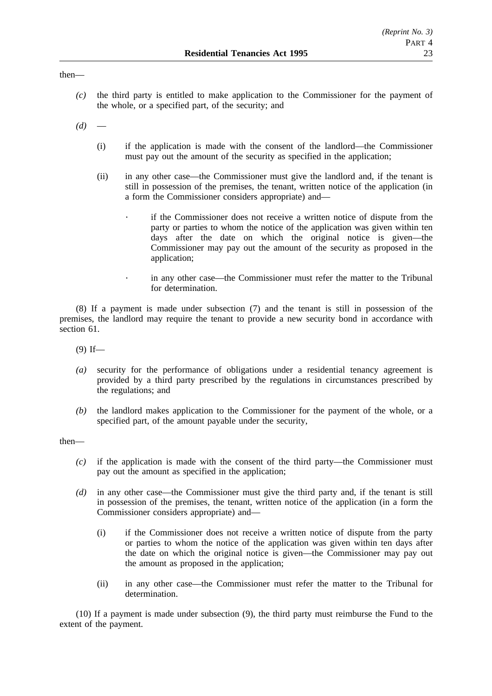## then—

*(c)* the third party is entitled to make application to the Commissioner for the payment of the whole, or a specified part, of the security; and

 $(d)$ 

- (i) if the application is made with the consent of the landlord—the Commissioner must pay out the amount of the security as specified in the application;
- (ii) in any other case—the Commissioner must give the landlord and, if the tenant is still in possession of the premises, the tenant, written notice of the application (in a form the Commissioner considers appropriate) and
	- if the Commissioner does not receive a written notice of dispute from the party or parties to whom the notice of the application was given within ten days after the date on which the original notice is given—the Commissioner may pay out the amount of the security as proposed in the application;
		- in any other case—the Commissioner must refer the matter to the Tribunal for determination.

(8) If a payment is made under subsection (7) and the tenant is still in possession of the premises, the landlord may require the tenant to provide a new security bond in accordance with section 61.

 $(9)$  If—

 $\ddot{\phantom{0}}$ 

- *(a)* security for the performance of obligations under a residential tenancy agreement is provided by a third party prescribed by the regulations in circumstances prescribed by the regulations; and
- *(b)* the landlord makes application to the Commissioner for the payment of the whole, or a specified part, of the amount payable under the security,

then—

- *(c)* if the application is made with the consent of the third party—the Commissioner must pay out the amount as specified in the application;
- *(d)* in any other case—the Commissioner must give the third party and, if the tenant is still in possession of the premises, the tenant, written notice of the application (in a form the Commissioner considers appropriate) and—
	- (i) if the Commissioner does not receive a written notice of dispute from the party or parties to whom the notice of the application was given within ten days after the date on which the original notice is given—the Commissioner may pay out the amount as proposed in the application;
	- (ii) in any other case—the Commissioner must refer the matter to the Tribunal for determination.

(10) If a payment is made under subsection (9), the third party must reimburse the Fund to the extent of the payment.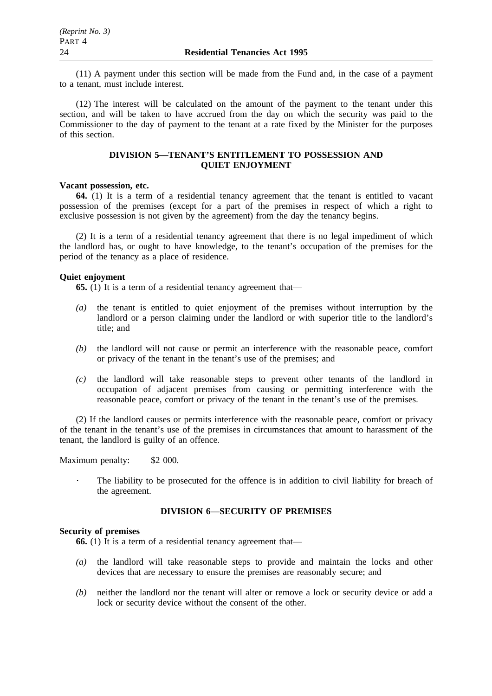(11) A payment under this section will be made from the Fund and, in the case of a payment to a tenant, must include interest.

(12) The interest will be calculated on the amount of the payment to the tenant under this section, and will be taken to have accrued from the day on which the security was paid to the Commissioner to the day of payment to the tenant at a rate fixed by the Minister for the purposes of this section.

## **DIVISION 5—TENANT'S ENTITLEMENT TO POSSESSION AND QUIET ENJOYMENT**

## **Vacant possession, etc.**

**64.** (1) It is a term of a residential tenancy agreement that the tenant is entitled to vacant possession of the premises (except for a part of the premises in respect of which a right to exclusive possession is not given by the agreement) from the day the tenancy begins.

(2) It is a term of a residential tenancy agreement that there is no legal impediment of which the landlord has, or ought to have knowledge, to the tenant's occupation of the premises for the period of the tenancy as a place of residence.

## **Quiet enjoyment**

**65.** (1) It is a term of a residential tenancy agreement that—

- *(a)* the tenant is entitled to quiet enjoyment of the premises without interruption by the landlord or a person claiming under the landlord or with superior title to the landlord's title; and
- *(b)* the landlord will not cause or permit an interference with the reasonable peace, comfort or privacy of the tenant in the tenant's use of the premises; and
- *(c)* the landlord will take reasonable steps to prevent other tenants of the landlord in occupation of adjacent premises from causing or permitting interference with the reasonable peace, comfort or privacy of the tenant in the tenant's use of the premises.

(2) If the landlord causes or permits interference with the reasonable peace, comfort or privacy of the tenant in the tenant's use of the premises in circumstances that amount to harassment of the tenant, the landlord is guilty of an offence.

Maximum penalty: \$2 000.

The liability to be prosecuted for the offence is in addition to civil liability for breach of the agreement.

# **DIVISION 6—SECURITY OF PREMISES**

## **Security of premises**

**66.** (1) It is a term of a residential tenancy agreement that—

- *(a)* the landlord will take reasonable steps to provide and maintain the locks and other devices that are necessary to ensure the premises are reasonably secure; and
- *(b)* neither the landlord nor the tenant will alter or remove a lock or security device or add a lock or security device without the consent of the other.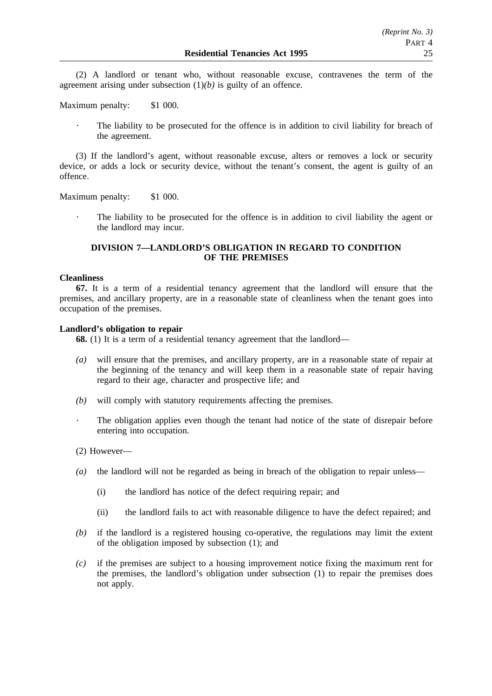(2) A landlord or tenant who, without reasonable excuse, contravenes the term of the agreement arising under subsection  $(1)(b)$  is guilty of an offence.

Maximum penalty: \$1 000.

The liability to be prosecuted for the offence is in addition to civil liability for breach of the agreement.

(3) If the landlord's agent, without reasonable excuse, alters or removes a lock or security device, or adds a lock or security device, without the tenant's consent, the agent is guilty of an offence.

Maximum penalty: \$1 000.

The liability to be prosecuted for the offence is in addition to civil liability the agent or the landlord may incur.

# **DIVISION 7—LANDLORD'S OBLIGATION IN REGARD TO CONDITION OF THE PREMISES**

#### **Cleanliness**

**67.** It is a term of a residential tenancy agreement that the landlord will ensure that the premises, and ancillary property, are in a reasonable state of cleanliness when the tenant goes into occupation of the premises.

## **Landlord's obligation to repair**

**68.** (1) It is a term of a residential tenancy agreement that the landlord—

- *(a)* will ensure that the premises, and ancillary property, are in a reasonable state of repair at the beginning of the tenancy and will keep them in a reasonable state of repair having regard to their age, character and prospective life; and
- *(b)* will comply with statutory requirements affecting the premises.
- The obligation applies even though the tenant had notice of the state of disrepair before entering into occupation.
- (2) However—
- *(a)* the landlord will not be regarded as being in breach of the obligation to repair unless—
	- (i) the landlord has notice of the defect requiring repair; and
	- (ii) the landlord fails to act with reasonable diligence to have the defect repaired; and
- *(b)* if the landlord is a registered housing co-operative, the regulations may limit the extent of the obligation imposed by subsection (1); and
- *(c)* if the premises are subject to a housing improvement notice fixing the maximum rent for the premises, the landlord's obligation under subsection (1) to repair the premises does not apply.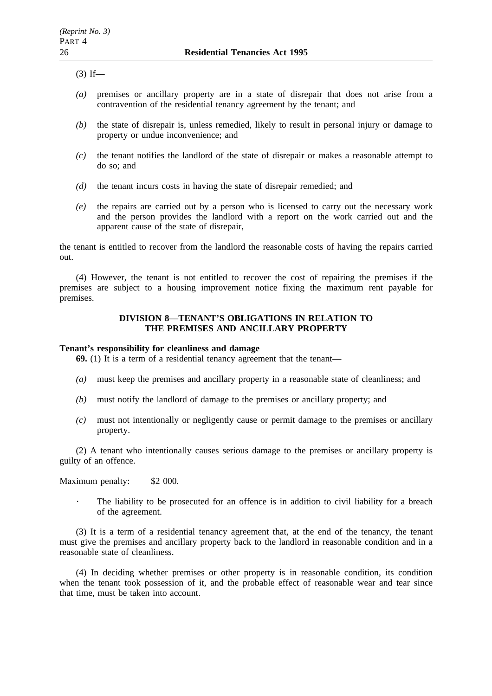$(3)$  If—

- *(a)* premises or ancillary property are in a state of disrepair that does not arise from a contravention of the residential tenancy agreement by the tenant; and
- *(b)* the state of disrepair is, unless remedied, likely to result in personal injury or damage to property or undue inconvenience; and
- *(c)* the tenant notifies the landlord of the state of disrepair or makes a reasonable attempt to do so; and
- *(d)* the tenant incurs costs in having the state of disrepair remedied; and
- *(e)* the repairs are carried out by a person who is licensed to carry out the necessary work and the person provides the landlord with a report on the work carried out and the apparent cause of the state of disrepair,

the tenant is entitled to recover from the landlord the reasonable costs of having the repairs carried out.

(4) However, the tenant is not entitled to recover the cost of repairing the premises if the premises are subject to a housing improvement notice fixing the maximum rent payable for premises.

## **DIVISION 8—TENANT'S OBLIGATIONS IN RELATION TO THE PREMISES AND ANCILLARY PROPERTY**

# **Tenant's responsibility for cleanliness and damage**

**69.** (1) It is a term of a residential tenancy agreement that the tenant—

- *(a)* must keep the premises and ancillary property in a reasonable state of cleanliness; and
- *(b)* must notify the landlord of damage to the premises or ancillary property; and
- *(c)* must not intentionally or negligently cause or permit damage to the premises or ancillary property.

(2) A tenant who intentionally causes serious damage to the premises or ancillary property is guilty of an offence.

Maximum penalty: \$2 000.

The liability to be prosecuted for an offence is in addition to civil liability for a breach of the agreement.

(3) It is a term of a residential tenancy agreement that, at the end of the tenancy, the tenant must give the premises and ancillary property back to the landlord in reasonable condition and in a reasonable state of cleanliness.

(4) In deciding whether premises or other property is in reasonable condition, its condition when the tenant took possession of it, and the probable effect of reasonable wear and tear since that time, must be taken into account.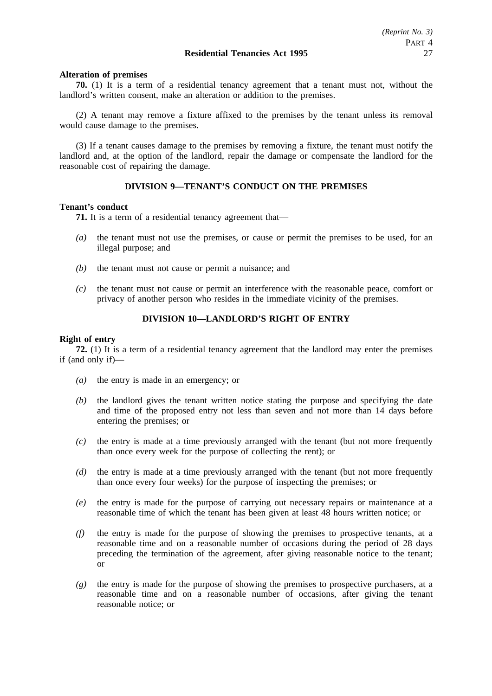## **Alteration of premises**

**70.** (1) It is a term of a residential tenancy agreement that a tenant must not, without the landlord's written consent, make an alteration or addition to the premises.

(2) A tenant may remove a fixture affixed to the premises by the tenant unless its removal would cause damage to the premises.

(3) If a tenant causes damage to the premises by removing a fixture, the tenant must notify the landlord and, at the option of the landlord, repair the damage or compensate the landlord for the reasonable cost of repairing the damage.

# **DIVISION 9—TENANT'S CONDUCT ON THE PREMISES**

#### **Tenant's conduct**

**71.** It is a term of a residential tenancy agreement that—

- *(a)* the tenant must not use the premises, or cause or permit the premises to be used, for an illegal purpose; and
- *(b)* the tenant must not cause or permit a nuisance; and
- *(c)* the tenant must not cause or permit an interference with the reasonable peace, comfort or privacy of another person who resides in the immediate vicinity of the premises.

## **DIVISION 10—LANDLORD'S RIGHT OF ENTRY**

## **Right of entry**

**72.** (1) It is a term of a residential tenancy agreement that the landlord may enter the premises if (and only if)—

- *(a)* the entry is made in an emergency; or
- *(b)* the landlord gives the tenant written notice stating the purpose and specifying the date and time of the proposed entry not less than seven and not more than 14 days before entering the premises; or
- *(c)* the entry is made at a time previously arranged with the tenant (but not more frequently than once every week for the purpose of collecting the rent); or
- *(d)* the entry is made at a time previously arranged with the tenant (but not more frequently than once every four weeks) for the purpose of inspecting the premises; or
- *(e)* the entry is made for the purpose of carrying out necessary repairs or maintenance at a reasonable time of which the tenant has been given at least 48 hours written notice; or
- *(f)* the entry is made for the purpose of showing the premises to prospective tenants, at a reasonable time and on a reasonable number of occasions during the period of 28 days preceding the termination of the agreement, after giving reasonable notice to the tenant; or
- *(g)* the entry is made for the purpose of showing the premises to prospective purchasers, at a reasonable time and on a reasonable number of occasions, after giving the tenant reasonable notice; or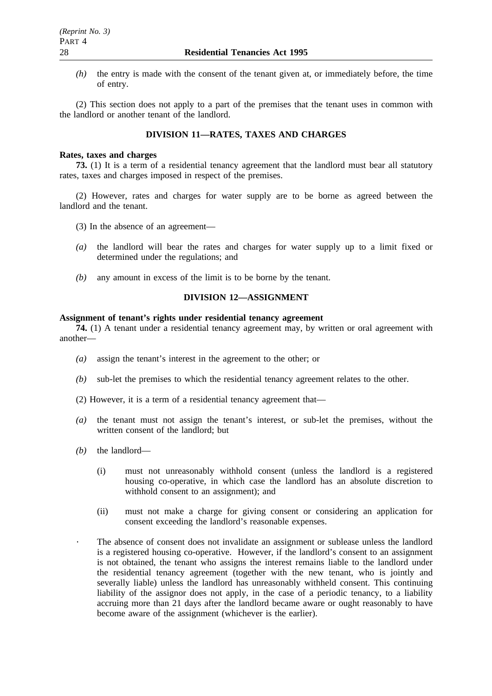*(h)* the entry is made with the consent of the tenant given at, or immediately before, the time of entry.

(2) This section does not apply to a part of the premises that the tenant uses in common with the landlord or another tenant of the landlord.

# **DIVISION 11—RATES, TAXES AND CHARGES**

#### **Rates, taxes and charges**

**73.** (1) It is a term of a residential tenancy agreement that the landlord must bear all statutory rates, taxes and charges imposed in respect of the premises.

(2) However, rates and charges for water supply are to be borne as agreed between the landlord and the tenant.

- (3) In the absence of an agreement—
- *(a)* the landlord will bear the rates and charges for water supply up to a limit fixed or determined under the regulations; and
- *(b)* any amount in excess of the limit is to be borne by the tenant.

# **DIVISION 12—ASSIGNMENT**

#### **Assignment of tenant's rights under residential tenancy agreement**

**74.** (1) A tenant under a residential tenancy agreement may, by written or oral agreement with another—

- *(a)* assign the tenant's interest in the agreement to the other; or
- *(b)* sub-let the premises to which the residential tenancy agreement relates to the other.
- (2) However, it is a term of a residential tenancy agreement that—
- *(a)* the tenant must not assign the tenant's interest, or sub-let the premises, without the written consent of the landlord; but
- *(b)* the landlord—
	- (i) must not unreasonably withhold consent (unless the landlord is a registered housing co-operative, in which case the landlord has an absolute discretion to withhold consent to an assignment); and
	- (ii) must not make a charge for giving consent or considering an application for consent exceeding the landlord's reasonable expenses.
	- The absence of consent does not invalidate an assignment or sublease unless the landlord is a registered housing co-operative. However, if the landlord's consent to an assignment is not obtained, the tenant who assigns the interest remains liable to the landlord under the residential tenancy agreement (together with the new tenant, who is jointly and severally liable) unless the landlord has unreasonably withheld consent. This continuing liability of the assignor does not apply, in the case of a periodic tenancy, to a liability accruing more than 21 days after the landlord became aware or ought reasonably to have become aware of the assignment (whichever is the earlier).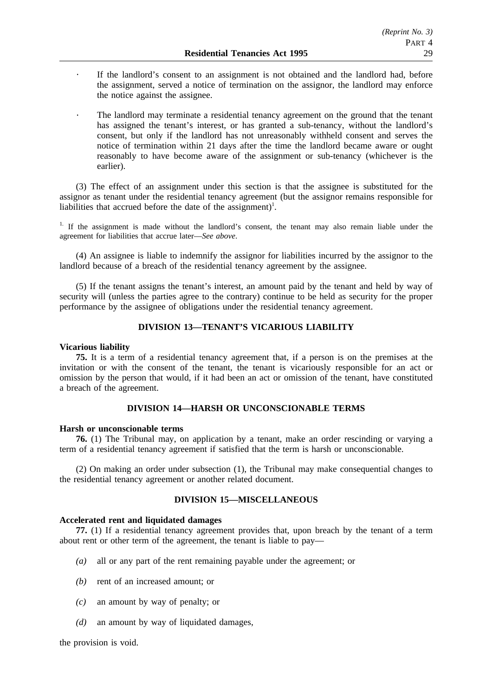- If the landlord's consent to an assignment is not obtained and the landlord had, before the assignment, served a notice of termination on the assignor, the landlord may enforce the notice against the assignee.
- The landlord may terminate a residential tenancy agreement on the ground that the tenant has assigned the tenant's interest, or has granted a sub-tenancy, without the landlord's consent, but only if the landlord has not unreasonably withheld consent and serves the notice of termination within 21 days after the time the landlord became aware or ought reasonably to have become aware of the assignment or sub-tenancy (whichever is the earlier).

(3) The effect of an assignment under this section is that the assignee is substituted for the assignor as tenant under the residential tenancy agreement (but the assignor remains responsible for liabilities that accrued before the date of the assignment)<sup>1</sup>.

<sup>1.</sup> If the assignment is made without the landlord's consent, the tenant may also remain liable under the agreement for liabilities that accrue later—*See above*.

(4) An assignee is liable to indemnify the assignor for liabilities incurred by the assignor to the landlord because of a breach of the residential tenancy agreement by the assignee.

(5) If the tenant assigns the tenant's interest, an amount paid by the tenant and held by way of security will (unless the parties agree to the contrary) continue to be held as security for the proper performance by the assignee of obligations under the residential tenancy agreement.

# **DIVISION 13—TENANT'S VICARIOUS LIABILITY**

#### **Vicarious liability**

**75.** It is a term of a residential tenancy agreement that, if a person is on the premises at the invitation or with the consent of the tenant, the tenant is vicariously responsible for an act or omission by the person that would, if it had been an act or omission of the tenant, have constituted a breach of the agreement.

## **DIVISION 14—HARSH OR UNCONSCIONABLE TERMS**

## **Harsh or unconscionable terms**

**76.** (1) The Tribunal may, on application by a tenant, make an order rescinding or varying a term of a residential tenancy agreement if satisfied that the term is harsh or unconscionable.

(2) On making an order under subsection (1), the Tribunal may make consequential changes to the residential tenancy agreement or another related document.

# **DIVISION 15—MISCELLANEOUS**

## **Accelerated rent and liquidated damages**

**77.** (1) If a residential tenancy agreement provides that, upon breach by the tenant of a term about rent or other term of the agreement, the tenant is liable to pay—

- *(a)* all or any part of the rent remaining payable under the agreement; or
- *(b)* rent of an increased amount; or
- *(c)* an amount by way of penalty; or
- *(d)* an amount by way of liquidated damages,

the provision is void.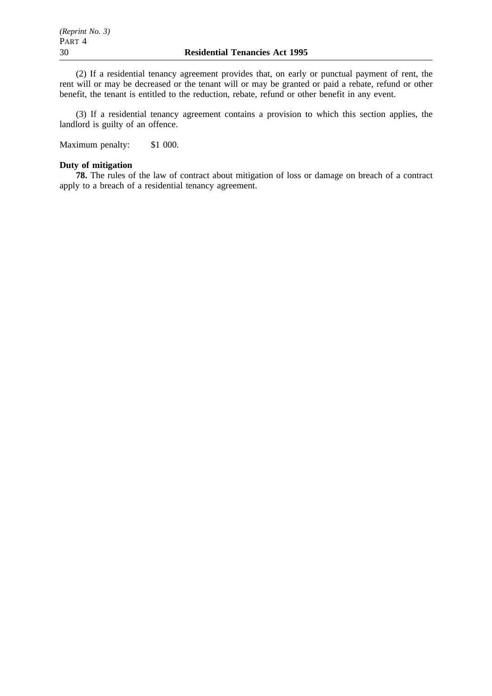(2) If a residential tenancy agreement provides that, on early or punctual payment of rent, the rent will or may be decreased or the tenant will or may be granted or paid a rebate, refund or other benefit, the tenant is entitled to the reduction, rebate, refund or other benefit in any event.

(3) If a residential tenancy agreement contains a provision to which this section applies, the landlord is guilty of an offence.

Maximum penalty: \$1 000.

# **Duty of mitigation**

**78.** The rules of the law of contract about mitigation of loss or damage on breach of a contract apply to a breach of a residential tenancy agreement.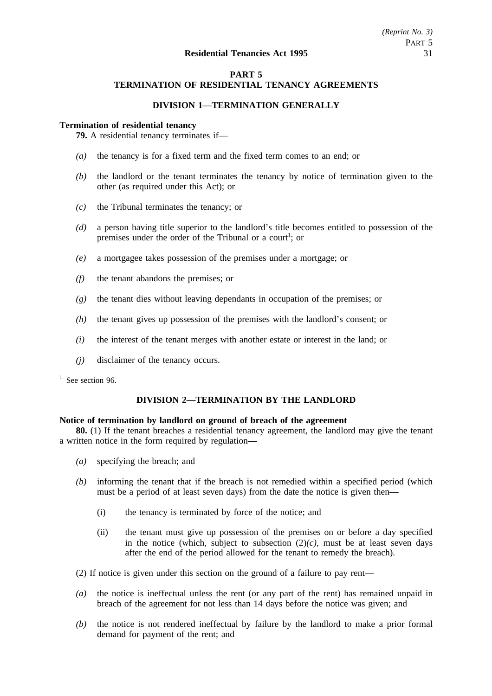# **PART 5 TERMINATION OF RESIDENTIAL TENANCY AGREEMENTS**

# **DIVISION 1—TERMINATION GENERALLY**

## **Termination of residential tenancy**

**79.** A residential tenancy terminates if—

- *(a)* the tenancy is for a fixed term and the fixed term comes to an end; or
- *(b)* the landlord or the tenant terminates the tenancy by notice of termination given to the other (as required under this Act); or
- *(c)* the Tribunal terminates the tenancy; or
- *(d)* a person having title superior to the landlord's title becomes entitled to possession of the premises under the order of the Tribunal or a court<sup>1</sup>; or
- *(e)* a mortgagee takes possession of the premises under a mortgage; or
- *(f)* the tenant abandons the premises; or
- *(g)* the tenant dies without leaving dependants in occupation of the premises; or
- *(h)* the tenant gives up possession of the premises with the landlord's consent; or
- *(i)* the interest of the tenant merges with another estate or interest in the land; or
- *(j)* disclaimer of the tenancy occurs.

<sup>1.</sup> See section 96.

# **DIVISION 2—TERMINATION BY THE LANDLORD**

## **Notice of termination by landlord on ground of breach of the agreement**

**80.** (1) If the tenant breaches a residential tenancy agreement, the landlord may give the tenant a written notice in the form required by regulation—

- *(a)* specifying the breach; and
- *(b)* informing the tenant that if the breach is not remedied within a specified period (which must be a period of at least seven days) from the date the notice is given then—
	- (i) the tenancy is terminated by force of the notice; and
	- (ii) the tenant must give up possession of the premises on or before a day specified in the notice (which, subject to subsection  $(2)(c)$ , must be at least seven days after the end of the period allowed for the tenant to remedy the breach).
- (2) If notice is given under this section on the ground of a failure to pay rent—
- *(a)* the notice is ineffectual unless the rent (or any part of the rent) has remained unpaid in breach of the agreement for not less than 14 days before the notice was given; and
- *(b)* the notice is not rendered ineffectual by failure by the landlord to make a prior formal demand for payment of the rent; and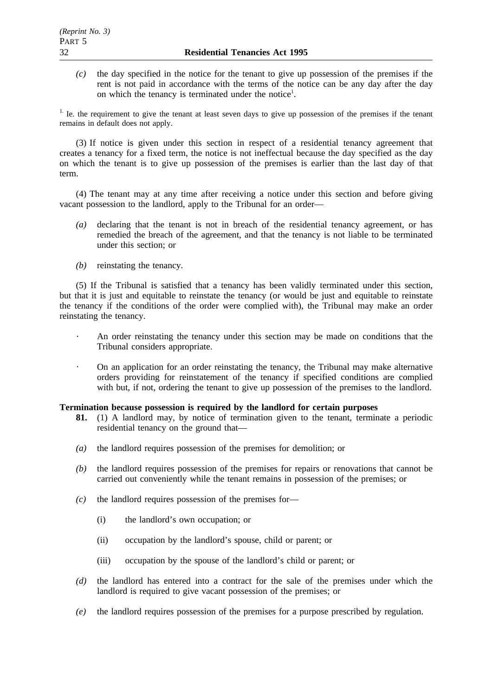*(c)* the day specified in the notice for the tenant to give up possession of the premises if the rent is not paid in accordance with the terms of the notice can be any day after the day on which the tenancy is terminated under the notice<sup>1</sup>.

<sup>1.</sup> Ie. the requirement to give the tenant at least seven days to give up possession of the premises if the tenant remains in default does not apply.

(3) If notice is given under this section in respect of a residential tenancy agreement that creates a tenancy for a fixed term, the notice is not ineffectual because the day specified as the day on which the tenant is to give up possession of the premises is earlier than the last day of that term.

(4) The tenant may at any time after receiving a notice under this section and before giving vacant possession to the landlord, apply to the Tribunal for an order—

- *(a)* declaring that the tenant is not in breach of the residential tenancy agreement, or has remedied the breach of the agreement, and that the tenancy is not liable to be terminated under this section; or
- *(b)* reinstating the tenancy.

(5) If the Tribunal is satisfied that a tenancy has been validly terminated under this section, but that it is just and equitable to reinstate the tenancy (or would be just and equitable to reinstate the tenancy if the conditions of the order were complied with), the Tribunal may make an order reinstating the tenancy.

- An order reinstating the tenancy under this section may be made on conditions that the Tribunal considers appropriate.
- On an application for an order reinstating the tenancy, the Tribunal may make alternative  $\mathcal{L}$ orders providing for reinstatement of the tenancy if specified conditions are complied with but, if not, ordering the tenant to give up possession of the premises to the landlord.

# **Termination because possession is required by the landlord for certain purposes**

- **81.** (1) A landlord may, by notice of termination given to the tenant, terminate a periodic residential tenancy on the ground that—
- *(a)* the landlord requires possession of the premises for demolition; or
- *(b)* the landlord requires possession of the premises for repairs or renovations that cannot be carried out conveniently while the tenant remains in possession of the premises; or
- *(c)* the landlord requires possession of the premises for—
	- (i) the landlord's own occupation; or
	- (ii) occupation by the landlord's spouse, child or parent; or
	- (iii) occupation by the spouse of the landlord's child or parent; or
- *(d)* the landlord has entered into a contract for the sale of the premises under which the landlord is required to give vacant possession of the premises; or
- *(e)* the landlord requires possession of the premises for a purpose prescribed by regulation.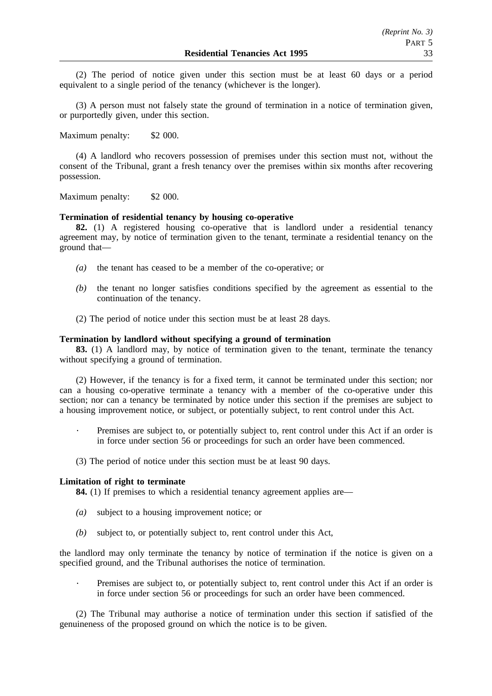(2) The period of notice given under this section must be at least 60 days or a period equivalent to a single period of the tenancy (whichever is the longer).

(3) A person must not falsely state the ground of termination in a notice of termination given, or purportedly given, under this section.

Maximum penalty: \$2 000.

(4) A landlord who recovers possession of premises under this section must not, without the consent of the Tribunal, grant a fresh tenancy over the premises within six months after recovering possession.

Maximum penalty: \$2 000.

## **Termination of residential tenancy by housing co-operative**

**82.** (1) A registered housing co-operative that is landlord under a residential tenancy agreement may, by notice of termination given to the tenant, terminate a residential tenancy on the ground that—

- *(a)* the tenant has ceased to be a member of the co-operative; or
- *(b)* the tenant no longer satisfies conditions specified by the agreement as essential to the continuation of the tenancy.
- (2) The period of notice under this section must be at least 28 days.

## **Termination by landlord without specifying a ground of termination**

**83.** (1) A landlord may, by notice of termination given to the tenant, terminate the tenancy without specifying a ground of termination.

(2) However, if the tenancy is for a fixed term, it cannot be terminated under this section; nor can a housing co-operative terminate a tenancy with a member of the co-operative under this section; nor can a tenancy be terminated by notice under this section if the premises are subject to a housing improvement notice, or subject, or potentially subject, to rent control under this Act.

- Premises are subject to, or potentially subject to, rent control under this Act if an order is in force under section 56 or proceedings for such an order have been commenced.
- (3) The period of notice under this section must be at least 90 days.

#### **Limitation of right to terminate**

**84.** (1) If premises to which a residential tenancy agreement applies are—

- *(a)* subject to a housing improvement notice; or
- *(b)* subject to, or potentially subject to, rent control under this Act,

the landlord may only terminate the tenancy by notice of termination if the notice is given on a specified ground, and the Tribunal authorises the notice of termination.

Premises are subject to, or potentially subject to, rent control under this Act if an order is in force under section 56 or proceedings for such an order have been commenced.

(2) The Tribunal may authorise a notice of termination under this section if satisfied of the genuineness of the proposed ground on which the notice is to be given.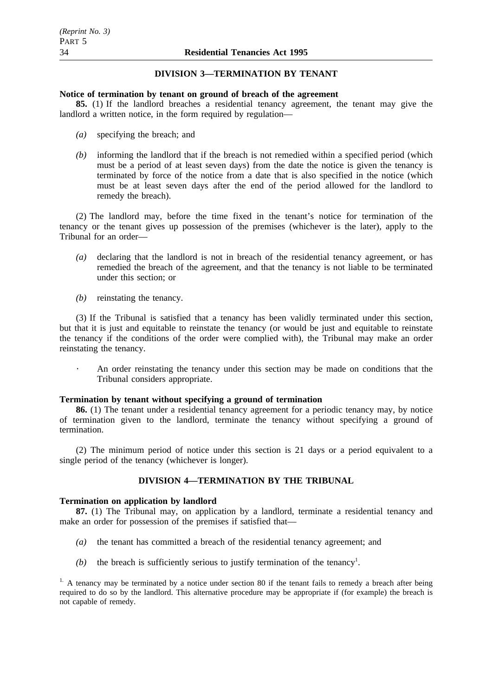## **DIVISION 3—TERMINATION BY TENANT**

#### **Notice of termination by tenant on ground of breach of the agreement**

**85.** (1) If the landlord breaches a residential tenancy agreement, the tenant may give the landlord a written notice, in the form required by regulation—

- *(a)* specifying the breach; and
- *(b)* informing the landlord that if the breach is not remedied within a specified period (which must be a period of at least seven days) from the date the notice is given the tenancy is terminated by force of the notice from a date that is also specified in the notice (which must be at least seven days after the end of the period allowed for the landlord to remedy the breach).

(2) The landlord may, before the time fixed in the tenant's notice for termination of the tenancy or the tenant gives up possession of the premises (whichever is the later), apply to the Tribunal for an order—

- *(a)* declaring that the landlord is not in breach of the residential tenancy agreement, or has remedied the breach of the agreement, and that the tenancy is not liable to be terminated under this section; or
- *(b)* reinstating the tenancy.

(3) If the Tribunal is satisfied that a tenancy has been validly terminated under this section, but that it is just and equitable to reinstate the tenancy (or would be just and equitable to reinstate the tenancy if the conditions of the order were complied with), the Tribunal may make an order reinstating the tenancy.

An order reinstating the tenancy under this section may be made on conditions that the Tribunal considers appropriate.

## **Termination by tenant without specifying a ground of termination**

**86.** (1) The tenant under a residential tenancy agreement for a periodic tenancy may, by notice of termination given to the landlord, terminate the tenancy without specifying a ground of termination.

(2) The minimum period of notice under this section is 21 days or a period equivalent to a single period of the tenancy (whichever is longer).

## **DIVISION 4—TERMINATION BY THE TRIBUNAL**

#### **Termination on application by landlord**

**87.** (1) The Tribunal may, on application by a landlord, terminate a residential tenancy and make an order for possession of the premises if satisfied that—

- *(a)* the tenant has committed a breach of the residential tenancy agreement; and
- $(b)$  the breach is sufficiently serious to justify termination of the tenancy<sup>1</sup>.

 $<sup>1</sup>$ . A tenancy may be terminated by a notice under section 80 if the tenant fails to remedy a breach after being</sup> required to do so by the landlord. This alternative procedure may be appropriate if (for example) the breach is not capable of remedy.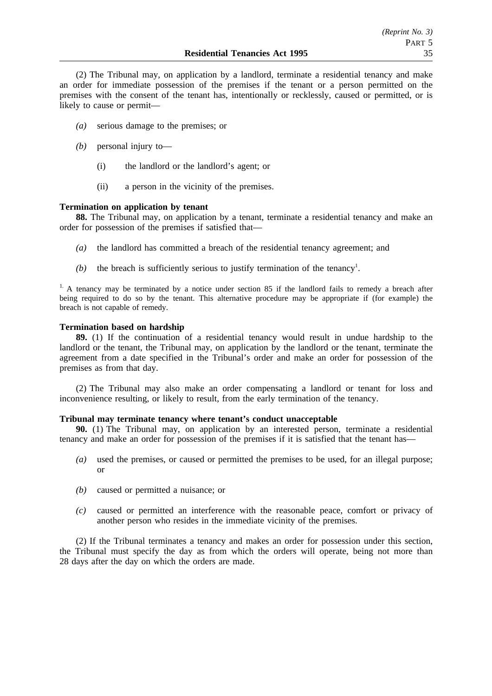(2) The Tribunal may, on application by a landlord, terminate a residential tenancy and make an order for immediate possession of the premises if the tenant or a person permitted on the premises with the consent of the tenant has, intentionally or recklessly, caused or permitted, or is likely to cause or permit—

- *(a)* serious damage to the premises; or
- *(b)* personal injury to—
	- (i) the landlord or the landlord's agent; or
	- (ii) a person in the vicinity of the premises.

## **Termination on application by tenant**

**88.** The Tribunal may, on application by a tenant, terminate a residential tenancy and make an order for possession of the premises if satisfied that—

- *(a)* the landlord has committed a breach of the residential tenancy agreement; and
- $(b)$  the breach is sufficiently serious to justify termination of the tenancy<sup>1</sup>.

<sup>1.</sup> A tenancy may be terminated by a notice under section 85 if the landlord fails to remedy a breach after being required to do so by the tenant. This alternative procedure may be appropriate if (for example) the breach is not capable of remedy.

## **Termination based on hardship**

**89.** (1) If the continuation of a residential tenancy would result in undue hardship to the landlord or the tenant, the Tribunal may, on application by the landlord or the tenant, terminate the agreement from a date specified in the Tribunal's order and make an order for possession of the premises as from that day.

(2) The Tribunal may also make an order compensating a landlord or tenant for loss and inconvenience resulting, or likely to result, from the early termination of the tenancy.

## **Tribunal may terminate tenancy where tenant's conduct unacceptable**

**90.** (1) The Tribunal may, on application by an interested person, terminate a residential tenancy and make an order for possession of the premises if it is satisfied that the tenant has—

- *(a)* used the premises, or caused or permitted the premises to be used, for an illegal purpose; or
- *(b)* caused or permitted a nuisance; or
- *(c)* caused or permitted an interference with the reasonable peace, comfort or privacy of another person who resides in the immediate vicinity of the premises.

(2) If the Tribunal terminates a tenancy and makes an order for possession under this section, the Tribunal must specify the day as from which the orders will operate, being not more than 28 days after the day on which the orders are made.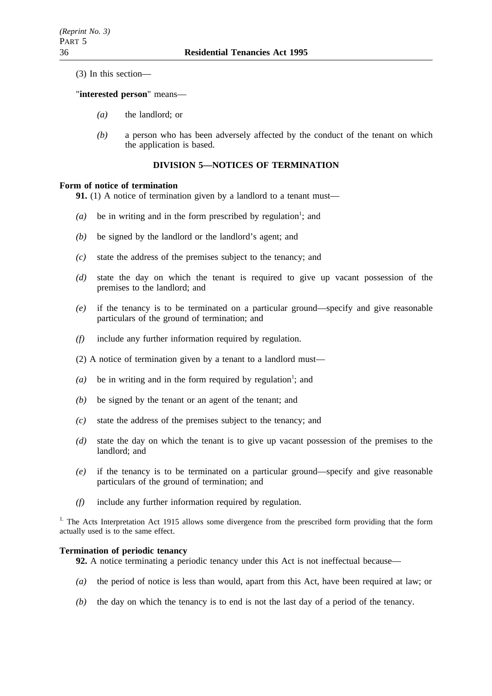(3) In this section—

## "**interested person**" means—

- *(a)* the landlord; or
- *(b)* a person who has been adversely affected by the conduct of the tenant on which the application is based.

# **DIVISION 5—NOTICES OF TERMINATION**

## **Form of notice of termination**

**91.** (1) A notice of termination given by a landlord to a tenant must—

- $(a)$  be in writing and in the form prescribed by regulation<sup>1</sup>; and
- *(b)* be signed by the landlord or the landlord's agent; and
- *(c)* state the address of the premises subject to the tenancy; and
- *(d)* state the day on which the tenant is required to give up vacant possession of the premises to the landlord; and
- *(e)* if the tenancy is to be terminated on a particular ground—specify and give reasonable particulars of the ground of termination; and
- *(f)* include any further information required by regulation.
- (2) A notice of termination given by a tenant to a landlord must—
- $(a)$  be in writing and in the form required by regulation<sup>1</sup>; and
- *(b)* be signed by the tenant or an agent of the tenant; and
- *(c)* state the address of the premises subject to the tenancy; and
- *(d)* state the day on which the tenant is to give up vacant possession of the premises to the landlord; and
- *(e)* if the tenancy is to be terminated on a particular ground—specify and give reasonable particulars of the ground of termination; and
- *(f)* include any further information required by regulation.

<sup>1.</sup> The Acts Interpretation Act 1915 allows some divergence from the prescribed form providing that the form actually used is to the same effect.

## **Termination of periodic tenancy**

- **92.** A notice terminating a periodic tenancy under this Act is not ineffectual because—
- *(a)* the period of notice is less than would, apart from this Act, have been required at law; or
- *(b)* the day on which the tenancy is to end is not the last day of a period of the tenancy.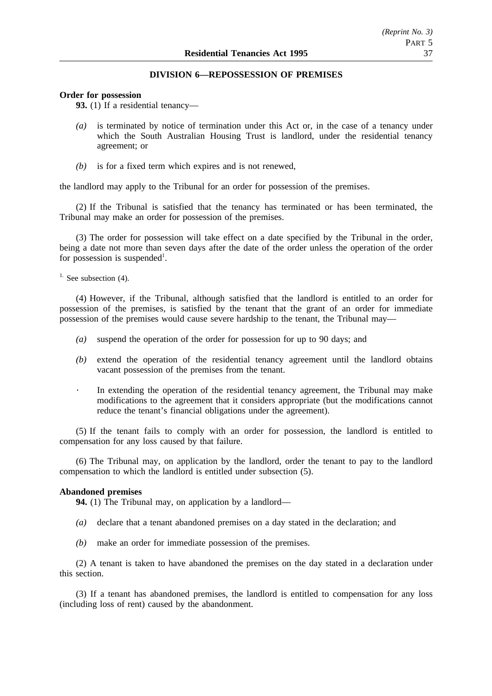## **DIVISION 6—REPOSSESSION OF PREMISES**

#### **Order for possession**

**93.** (1) If a residential tenancy—

- *(a)* is terminated by notice of termination under this Act or, in the case of a tenancy under which the South Australian Housing Trust is landlord, under the residential tenancy agreement; or
- *(b)* is for a fixed term which expires and is not renewed,

the landlord may apply to the Tribunal for an order for possession of the premises.

(2) If the Tribunal is satisfied that the tenancy has terminated or has been terminated, the Tribunal may make an order for possession of the premises.

(3) The order for possession will take effect on a date specified by the Tribunal in the order, being a date not more than seven days after the date of the order unless the operation of the order for possession is suspended<sup>1</sup>.

 $1.$  See subsection (4).

(4) However, if the Tribunal, although satisfied that the landlord is entitled to an order for possession of the premises, is satisfied by the tenant that the grant of an order for immediate possession of the premises would cause severe hardship to the tenant, the Tribunal may—

- *(a)* suspend the operation of the order for possession for up to 90 days; and
- *(b)* extend the operation of the residential tenancy agreement until the landlord obtains vacant possession of the premises from the tenant.
	- In extending the operation of the residential tenancy agreement, the Tribunal may make modifications to the agreement that it considers appropriate (but the modifications cannot reduce the tenant's financial obligations under the agreement).

(5) If the tenant fails to comply with an order for possession, the landlord is entitled to compensation for any loss caused by that failure.

(6) The Tribunal may, on application by the landlord, order the tenant to pay to the landlord compensation to which the landlord is entitled under subsection (5).

## **Abandoned premises**

**94.** (1) The Tribunal may, on application by a landlord—

- *(a)* declare that a tenant abandoned premises on a day stated in the declaration; and
- *(b)* make an order for immediate possession of the premises.

(2) A tenant is taken to have abandoned the premises on the day stated in a declaration under this section.

(3) If a tenant has abandoned premises, the landlord is entitled to compensation for any loss (including loss of rent) caused by the abandonment.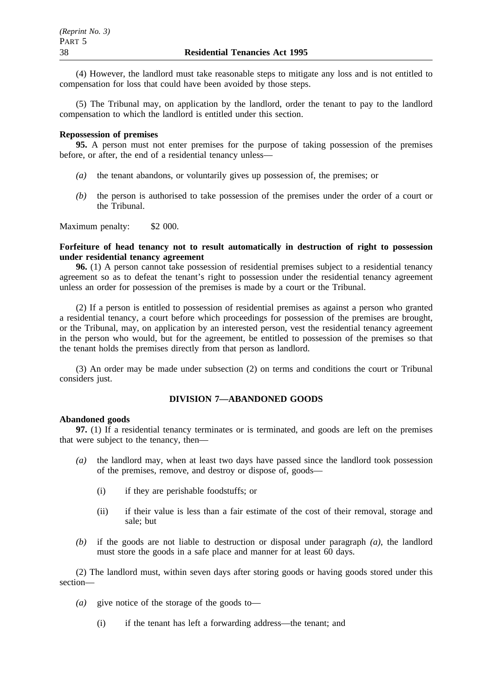(4) However, the landlord must take reasonable steps to mitigate any loss and is not entitled to compensation for loss that could have been avoided by those steps.

(5) The Tribunal may, on application by the landlord, order the tenant to pay to the landlord compensation to which the landlord is entitled under this section.

#### **Repossession of premises**

**95.** A person must not enter premises for the purpose of taking possession of the premises before, or after, the end of a residential tenancy unless—

- *(a)* the tenant abandons, or voluntarily gives up possession of, the premises; or
- *(b)* the person is authorised to take possession of the premises under the order of a court or the Tribunal.

Maximum penalty: \$2 000.

## **Forfeiture of head tenancy not to result automatically in destruction of right to possession under residential tenancy agreement**

**96.** (1) A person cannot take possession of residential premises subject to a residential tenancy agreement so as to defeat the tenant's right to possession under the residential tenancy agreement unless an order for possession of the premises is made by a court or the Tribunal.

(2) If a person is entitled to possession of residential premises as against a person who granted a residential tenancy, a court before which proceedings for possession of the premises are brought, or the Tribunal, may, on application by an interested person, vest the residential tenancy agreement in the person who would, but for the agreement, be entitled to possession of the premises so that the tenant holds the premises directly from that person as landlord.

(3) An order may be made under subsection (2) on terms and conditions the court or Tribunal considers just.

## **DIVISION 7—ABANDONED GOODS**

#### **Abandoned goods**

**97.** (1) If a residential tenancy terminates or is terminated, and goods are left on the premises that were subject to the tenancy, then—

- *(a)* the landlord may, when at least two days have passed since the landlord took possession of the premises, remove, and destroy or dispose of, goods—
	- (i) if they are perishable foodstuffs; or
	- (ii) if their value is less than a fair estimate of the cost of their removal, storage and sale; but
- *(b)* if the goods are not liable to destruction or disposal under paragraph *(a)*, the landlord must store the goods in a safe place and manner for at least 60 days.

(2) The landlord must, within seven days after storing goods or having goods stored under this section—

- *(a)* give notice of the storage of the goods to—
	- (i) if the tenant has left a forwarding address—the tenant; and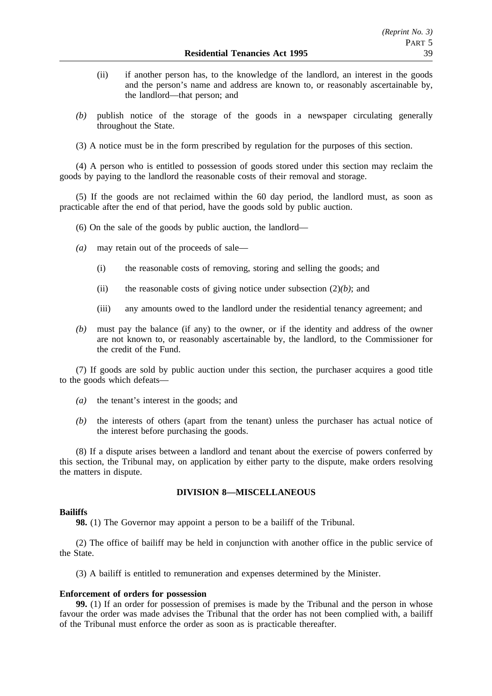- (ii) if another person has, to the knowledge of the landlord, an interest in the goods and the person's name and address are known to, or reasonably ascertainable by, the landlord—that person; and
- *(b)* publish notice of the storage of the goods in a newspaper circulating generally throughout the State.
- (3) A notice must be in the form prescribed by regulation for the purposes of this section.

(4) A person who is entitled to possession of goods stored under this section may reclaim the goods by paying to the landlord the reasonable costs of their removal and storage.

(5) If the goods are not reclaimed within the 60 day period, the landlord must, as soon as practicable after the end of that period, have the goods sold by public auction.

(6) On the sale of the goods by public auction, the landlord—

- *(a)* may retain out of the proceeds of sale—
	- (i) the reasonable costs of removing, storing and selling the goods; and
	- (ii) the reasonable costs of giving notice under subsection (2)*(b)*; and
	- (iii) any amounts owed to the landlord under the residential tenancy agreement; and
- *(b)* must pay the balance (if any) to the owner, or if the identity and address of the owner are not known to, or reasonably ascertainable by, the landlord, to the Commissioner for the credit of the Fund.

(7) If goods are sold by public auction under this section, the purchaser acquires a good title to the goods which defeats—

- *(a)* the tenant's interest in the goods; and
- *(b)* the interests of others (apart from the tenant) unless the purchaser has actual notice of the interest before purchasing the goods.

(8) If a dispute arises between a landlord and tenant about the exercise of powers conferred by this section, the Tribunal may, on application by either party to the dispute, make orders resolving the matters in dispute.

# **DIVISION 8—MISCELLANEOUS**

## **Bailiffs**

**98.** (1) The Governor may appoint a person to be a bailiff of the Tribunal.

(2) The office of bailiff may be held in conjunction with another office in the public service of the State.

(3) A bailiff is entitled to remuneration and expenses determined by the Minister.

## **Enforcement of orders for possession**

**99.** (1) If an order for possession of premises is made by the Tribunal and the person in whose favour the order was made advises the Tribunal that the order has not been complied with, a bailiff of the Tribunal must enforce the order as soon as is practicable thereafter.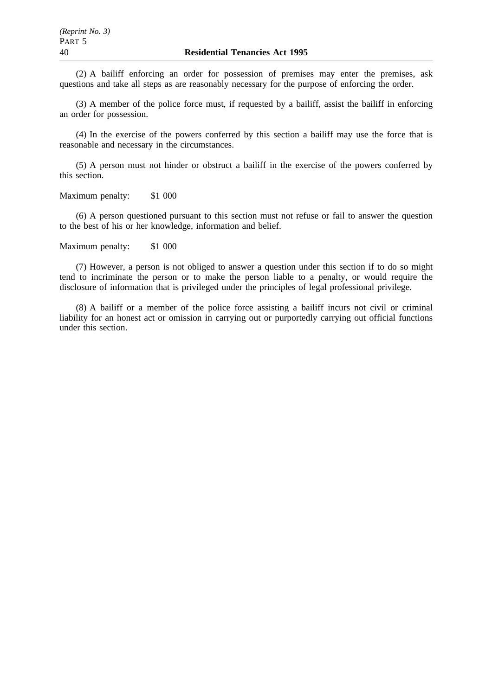(2) A bailiff enforcing an order for possession of premises may enter the premises, ask questions and take all steps as are reasonably necessary for the purpose of enforcing the order.

(3) A member of the police force must, if requested by a bailiff, assist the bailiff in enforcing an order for possession.

(4) In the exercise of the powers conferred by this section a bailiff may use the force that is reasonable and necessary in the circumstances.

(5) A person must not hinder or obstruct a bailiff in the exercise of the powers conferred by this section.

Maximum penalty: \$1 000

(6) A person questioned pursuant to this section must not refuse or fail to answer the question to the best of his or her knowledge, information and belief.

Maximum penalty: \$1 000

(7) However, a person is not obliged to answer a question under this section if to do so might tend to incriminate the person or to make the person liable to a penalty, or would require the disclosure of information that is privileged under the principles of legal professional privilege.

(8) A bailiff or a member of the police force assisting a bailiff incurs not civil or criminal liability for an honest act or omission in carrying out or purportedly carrying out official functions under this section.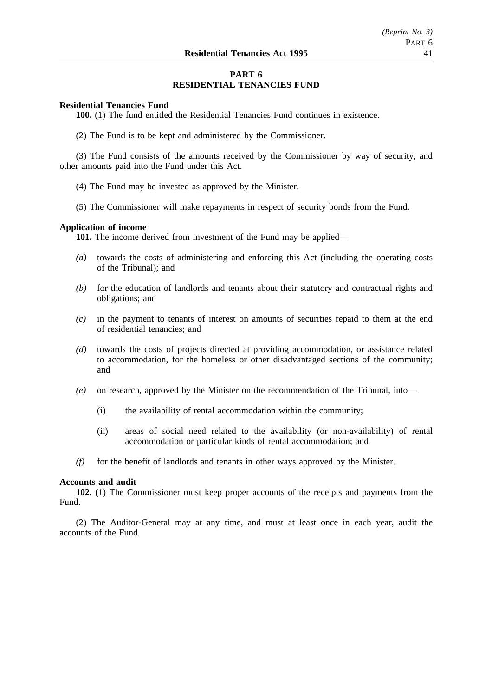# **PART 6 RESIDENTIAL TENANCIES FUND**

## **Residential Tenancies Fund**

**100.** (1) The fund entitled the Residential Tenancies Fund continues in existence.

(2) The Fund is to be kept and administered by the Commissioner.

(3) The Fund consists of the amounts received by the Commissioner by way of security, and other amounts paid into the Fund under this Act.

- (4) The Fund may be invested as approved by the Minister.
- (5) The Commissioner will make repayments in respect of security bonds from the Fund.

## **Application of income**

**101.** The income derived from investment of the Fund may be applied—

- *(a)* towards the costs of administering and enforcing this Act (including the operating costs of the Tribunal); and
- *(b)* for the education of landlords and tenants about their statutory and contractual rights and obligations; and
- *(c)* in the payment to tenants of interest on amounts of securities repaid to them at the end of residential tenancies; and
- *(d)* towards the costs of projects directed at providing accommodation, or assistance related to accommodation, for the homeless or other disadvantaged sections of the community; and
- *(e)* on research, approved by the Minister on the recommendation of the Tribunal, into—
	- (i) the availability of rental accommodation within the community;
	- (ii) areas of social need related to the availability (or non-availability) of rental accommodation or particular kinds of rental accommodation; and
- *(f)* for the benefit of landlords and tenants in other ways approved by the Minister.

#### **Accounts and audit**

**102.** (1) The Commissioner must keep proper accounts of the receipts and payments from the Fund.

(2) The Auditor-General may at any time, and must at least once in each year, audit the accounts of the Fund.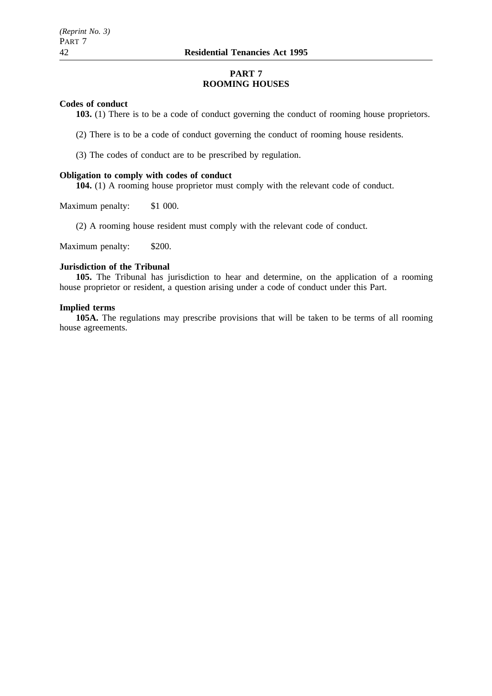# **PART 7 ROOMING HOUSES**

## **Codes of conduct**

**103.** (1) There is to be a code of conduct governing the conduct of rooming house proprietors.

(2) There is to be a code of conduct governing the conduct of rooming house residents.

(3) The codes of conduct are to be prescribed by regulation.

#### **Obligation to comply with codes of conduct**

**104.** (1) A rooming house proprietor must comply with the relevant code of conduct.

Maximum penalty: \$1 000.

(2) A rooming house resident must comply with the relevant code of conduct.

Maximum penalty: \$200.

# **Jurisdiction of the Tribunal**

**105.** The Tribunal has jurisdiction to hear and determine, on the application of a rooming house proprietor or resident, a question arising under a code of conduct under this Part.

## **Implied terms**

**105A.** The regulations may prescribe provisions that will be taken to be terms of all rooming house agreements.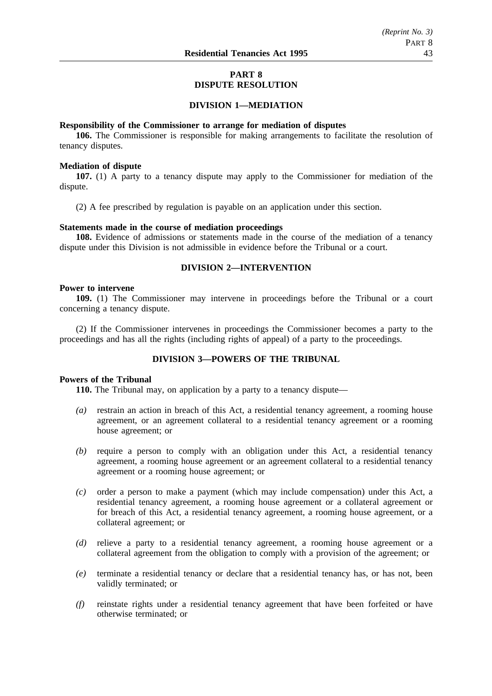# **PART 8 DISPUTE RESOLUTION**

## **DIVISION 1—MEDIATION**

#### **Responsibility of the Commissioner to arrange for mediation of disputes**

**106.** The Commissioner is responsible for making arrangements to facilitate the resolution of tenancy disputes.

#### **Mediation of dispute**

**107.** (1) A party to a tenancy dispute may apply to the Commissioner for mediation of the dispute.

(2) A fee prescribed by regulation is payable on an application under this section.

#### **Statements made in the course of mediation proceedings**

**108.** Evidence of admissions or statements made in the course of the mediation of a tenancy dispute under this Division is not admissible in evidence before the Tribunal or a court.

# **DIVISION 2—INTERVENTION**

## **Power to intervene**

**109.** (1) The Commissioner may intervene in proceedings before the Tribunal or a court concerning a tenancy dispute.

(2) If the Commissioner intervenes in proceedings the Commissioner becomes a party to the proceedings and has all the rights (including rights of appeal) of a party to the proceedings.

# **DIVISION 3—POWERS OF THE TRIBUNAL**

# **Powers of the Tribunal**

**110.** The Tribunal may, on application by a party to a tenancy dispute—

- *(a)* restrain an action in breach of this Act, a residential tenancy agreement, a rooming house agreement, or an agreement collateral to a residential tenancy agreement or a rooming house agreement; or
- *(b)* require a person to comply with an obligation under this Act, a residential tenancy agreement, a rooming house agreement or an agreement collateral to a residential tenancy agreement or a rooming house agreement; or
- *(c)* order a person to make a payment (which may include compensation) under this Act, a residential tenancy agreement, a rooming house agreement or a collateral agreement or for breach of this Act, a residential tenancy agreement, a rooming house agreement, or a collateral agreement; or
- *(d)* relieve a party to a residential tenancy agreement, a rooming house agreement or a collateral agreement from the obligation to comply with a provision of the agreement; or
- *(e)* terminate a residential tenancy or declare that a residential tenancy has, or has not, been validly terminated; or
- *(f)* reinstate rights under a residential tenancy agreement that have been forfeited or have otherwise terminated; or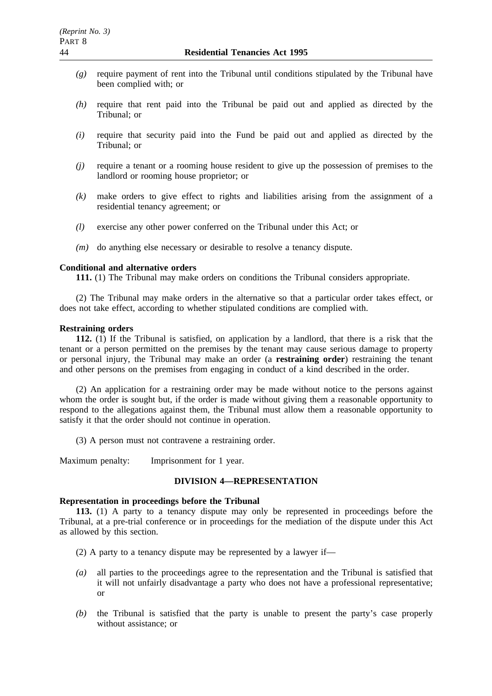- *(g)* require payment of rent into the Tribunal until conditions stipulated by the Tribunal have been complied with; or
- *(h)* require that rent paid into the Tribunal be paid out and applied as directed by the Tribunal; or
- *(i)* require that security paid into the Fund be paid out and applied as directed by the Tribunal; or
- *(j)* require a tenant or a rooming house resident to give up the possession of premises to the landlord or rooming house proprietor; or
- *(k)* make orders to give effect to rights and liabilities arising from the assignment of a residential tenancy agreement; or
- *(l)* exercise any other power conferred on the Tribunal under this Act; or
- *(m)* do anything else necessary or desirable to resolve a tenancy dispute.

# **Conditional and alternative orders**

**111.** (1) The Tribunal may make orders on conditions the Tribunal considers appropriate.

(2) The Tribunal may make orders in the alternative so that a particular order takes effect, or does not take effect, according to whether stipulated conditions are complied with.

## **Restraining orders**

**112.** (1) If the Tribunal is satisfied, on application by a landlord, that there is a risk that the tenant or a person permitted on the premises by the tenant may cause serious damage to property or personal injury, the Tribunal may make an order (a **restraining order**) restraining the tenant and other persons on the premises from engaging in conduct of a kind described in the order.

(2) An application for a restraining order may be made without notice to the persons against whom the order is sought but, if the order is made without giving them a reasonable opportunity to respond to the allegations against them, the Tribunal must allow them a reasonable opportunity to satisfy it that the order should not continue in operation.

(3) A person must not contravene a restraining order.

Maximum penalty: Imprisonment for 1 year.

# **DIVISION 4—REPRESENTATION**

# **Representation in proceedings before the Tribunal**

**113.** (1) A party to a tenancy dispute may only be represented in proceedings before the Tribunal, at a pre-trial conference or in proceedings for the mediation of the dispute under this Act as allowed by this section.

(2) A party to a tenancy dispute may be represented by a lawyer if—

- *(a)* all parties to the proceedings agree to the representation and the Tribunal is satisfied that it will not unfairly disadvantage a party who does not have a professional representative; or
- *(b)* the Tribunal is satisfied that the party is unable to present the party's case properly without assistance; or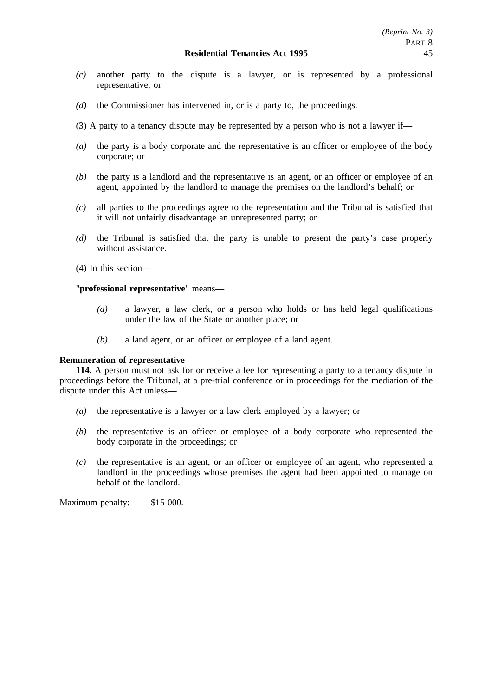- *(c)* another party to the dispute is a lawyer, or is represented by a professional representative; or
- *(d)* the Commissioner has intervened in, or is a party to, the proceedings.
- (3) A party to a tenancy dispute may be represented by a person who is not a lawyer if—
- *(a)* the party is a body corporate and the representative is an officer or employee of the body corporate; or
- *(b)* the party is a landlord and the representative is an agent, or an officer or employee of an agent, appointed by the landlord to manage the premises on the landlord's behalf; or
- *(c)* all parties to the proceedings agree to the representation and the Tribunal is satisfied that it will not unfairly disadvantage an unrepresented party; or
- *(d)* the Tribunal is satisfied that the party is unable to present the party's case properly without assistance.
- (4) In this section—

# "**professional representative**" means—

- *(a)* a lawyer, a law clerk, or a person who holds or has held legal qualifications under the law of the State or another place; or
- *(b)* a land agent, or an officer or employee of a land agent.

# **Remuneration of representative**

**114.** A person must not ask for or receive a fee for representing a party to a tenancy dispute in proceedings before the Tribunal, at a pre-trial conference or in proceedings for the mediation of the dispute under this Act unless—

- *(a)* the representative is a lawyer or a law clerk employed by a lawyer; or
- *(b)* the representative is an officer or employee of a body corporate who represented the body corporate in the proceedings; or
- *(c)* the representative is an agent, or an officer or employee of an agent, who represented a landlord in the proceedings whose premises the agent had been appointed to manage on behalf of the landlord.

Maximum penalty: \$15 000.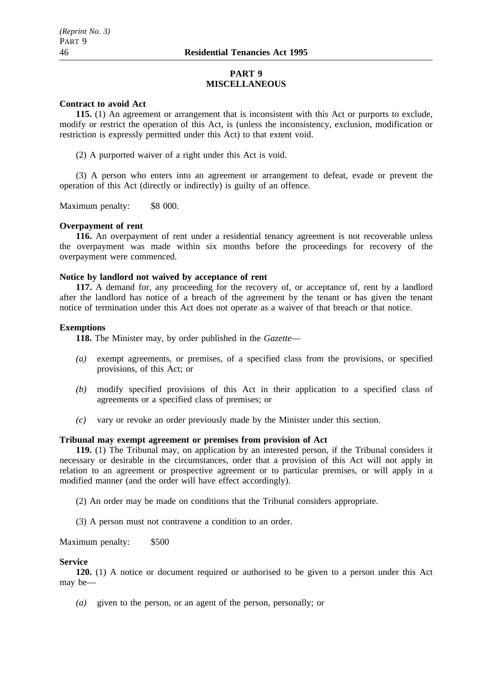## **PART 9 MISCELLANEOUS**

#### **Contract to avoid Act**

**115.** (1) An agreement or arrangement that is inconsistent with this Act or purports to exclude, modify or restrict the operation of this Act, is (unless the inconsistency, exclusion, modification or restriction is expressly permitted under this Act) to that extent void.

(2) A purported waiver of a right under this Act is void.

(3) A person who enters into an agreement or arrangement to defeat, evade or prevent the operation of this Act (directly or indirectly) is guilty of an offence.

Maximum penalty: \$8 000.

#### **Overpayment of rent**

**116.** An overpayment of rent under a residential tenancy agreement is not recoverable unless the overpayment was made within six months before the proceedings for recovery of the overpayment were commenced.

## **Notice by landlord not waived by acceptance of rent**

**117.** A demand for, any proceeding for the recovery of, or acceptance of, rent by a landlord after the landlord has notice of a breach of the agreement by the tenant or has given the tenant notice of termination under this Act does not operate as a waiver of that breach or that notice.

#### **Exemptions**

**118.** The Minister may, by order published in the *Gazette*—

- *(a)* exempt agreements, or premises, of a specified class from the provisions, or specified provisions, of this Act; or
- *(b)* modify specified provisions of this Act in their application to a specified class of agreements or a specified class of premises; or
- *(c)* vary or revoke an order previously made by the Minister under this section.

# **Tribunal may exempt agreement or premises from provision of Act**

**119.** (1) The Tribunal may, on application by an interested person, if the Tribunal considers it necessary or desirable in the circumstances, order that a provision of this Act will not apply in relation to an agreement or prospective agreement or to particular premises, or will apply in a modified manner (and the order will have effect accordingly).

(2) An order may be made on conditions that the Tribunal considers appropriate.

(3) A person must not contravene a condition to an order.

Maximum penalty: \$500

## **Service**

**120.** (1) A notice or document required or authorised to be given to a person under this Act may be—

*(a)* given to the person, or an agent of the person, personally; or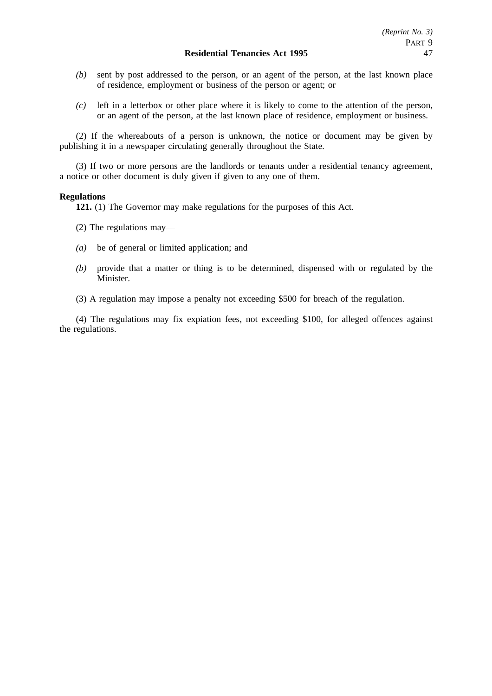- *(b)* sent by post addressed to the person, or an agent of the person, at the last known place of residence, employment or business of the person or agent; or
- *(c)* left in a letterbox or other place where it is likely to come to the attention of the person, or an agent of the person, at the last known place of residence, employment or business.

(2) If the whereabouts of a person is unknown, the notice or document may be given by publishing it in a newspaper circulating generally throughout the State.

(3) If two or more persons are the landlords or tenants under a residential tenancy agreement, a notice or other document is duly given if given to any one of them.

#### **Regulations**

**121.** (1) The Governor may make regulations for the purposes of this Act.

- (2) The regulations may—
- *(a)* be of general or limited application; and
- *(b)* provide that a matter or thing is to be determined, dispensed with or regulated by the Minister.
- (3) A regulation may impose a penalty not exceeding \$500 for breach of the regulation.

(4) The regulations may fix expiation fees, not exceeding \$100, for alleged offences against the regulations.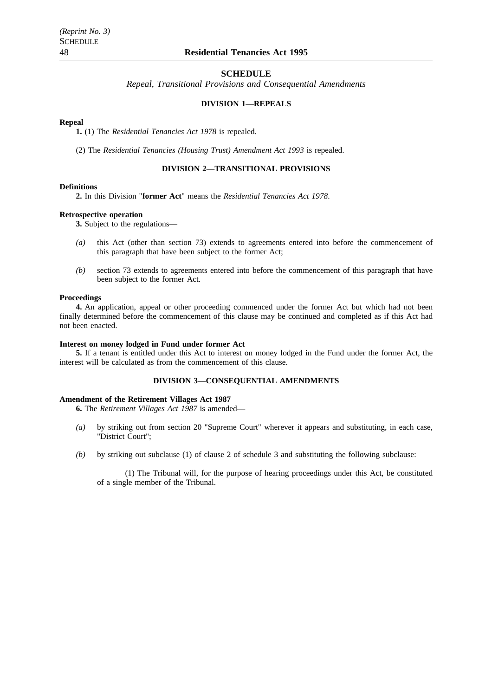#### **SCHEDULE**

*Repeal, Transitional Provisions and Consequential Amendments*

## **DIVISION 1—REPEALS**

#### **Repeal**

**1.** (1) The *Residential Tenancies Act 1978* is repealed.

(2) The *Residential Tenancies (Housing Trust) Amendment Act 1993* is repealed.

# **DIVISION 2—TRANSITIONAL PROVISIONS**

#### **Definitions**

**2.** In this Division "**former Act**" means the *Residential Tenancies Act 1978*.

#### **Retrospective operation**

**3.** Subject to the regulations—

- *(a)* this Act (other than section 73) extends to agreements entered into before the commencement of this paragraph that have been subject to the former Act;
- *(b)* section 73 extends to agreements entered into before the commencement of this paragraph that have been subject to the former Act.

#### **Proceedings**

**4.** An application, appeal or other proceeding commenced under the former Act but which had not been finally determined before the commencement of this clause may be continued and completed as if this Act had not been enacted.

#### **Interest on money lodged in Fund under former Act**

**5.** If a tenant is entitled under this Act to interest on money lodged in the Fund under the former Act, the interest will be calculated as from the commencement of this clause.

## **DIVISION 3—CONSEQUENTIAL AMENDMENTS**

#### **Amendment of the Retirement Villages Act 1987**

**6.** The *Retirement Villages Act 1987* is amended—

- *(a)* by striking out from section 20 "Supreme Court" wherever it appears and substituting, in each case, "District Court";
- *(b)* by striking out subclause (1) of clause 2 of schedule 3 and substituting the following subclause:

(1) The Tribunal will, for the purpose of hearing proceedings under this Act, be constituted of a single member of the Tribunal.